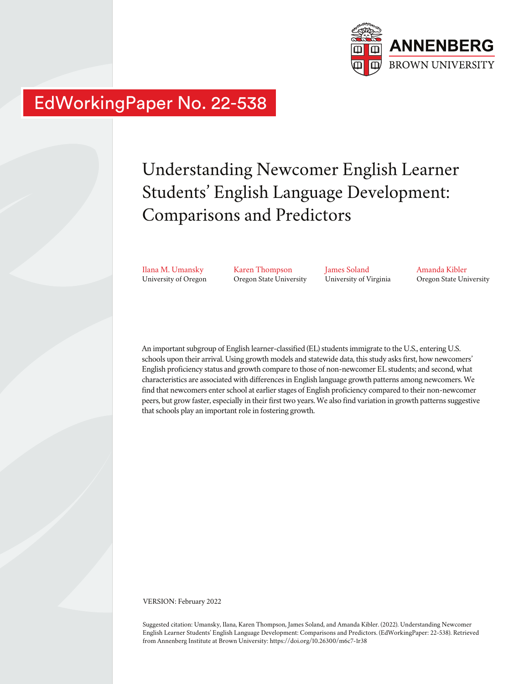

# EdWorkingPaper No. 22-538

# Understanding Newcomer English Learner Students' English Language Development: Comparisons and Predictors

Ilana M. Umansky University of Oregon Karen Thompson Oregon State University James Soland University of Virginia Amanda Kibler Oregon State University

An important subgroup of English learner-classified (EL) students immigrate to the U.S., entering U.S. schools upon their arrival. Using growth models and statewide data, this study asks first, how newcomers' English proficiency status and growth compare to those of non-newcomer EL students; and second, what characteristics are associated with differences in English language growth patterns among newcomers. We find that newcomers enter school at earlier stages of English proficiency compared to their non-newcomer peers, but grow faster, especially in their first two years. We also find variation in growth patterns suggestive that schools play an important role in fostering growth.

VERSION: February 2022

Suggested citation: Umansky, Ilana, Karen Thompson, James Soland, and Amanda Kibler. (2022). Understanding Newcomer English Learner Students' English Language Development: Comparisons and Predictors. (EdWorkingPaper: 22-538). Retrieved from Annenberg Institute at Brown University: https://doi.org/10.26300/m6c7-1r38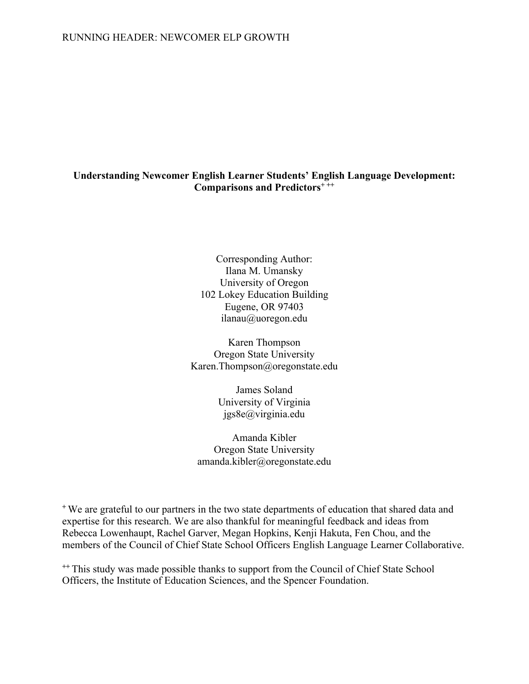# **Understanding Newcomer English Learner Students' English Language Development: Comparisons and Predictors+ ++**

Corresponding Author: Ilana M. Umansky University of Oregon 102 Lokey Education Building Eugene, OR 97403 ilanau@uoregon.edu

Karen Thompson Oregon State University Karen.Thompson@oregonstate.edu

> James Soland University of Virginia jgs8e@virginia.edu

Amanda Kibler Oregon State University amanda.kibler@oregonstate.edu

**<sup>+</sup>** We are grateful to our partners in the two state departments of education that shared data and expertise for this research. We are also thankful for meaningful feedback and ideas from Rebecca Lowenhaupt, Rachel Garver, Megan Hopkins, Kenji Hakuta, Fen Chou, and the members of the Council of Chief State School Officers English Language Learner Collaborative.

**++** This study was made possible thanks to support from the Council of Chief State School Officers, the Institute of Education Sciences, and the Spencer Foundation.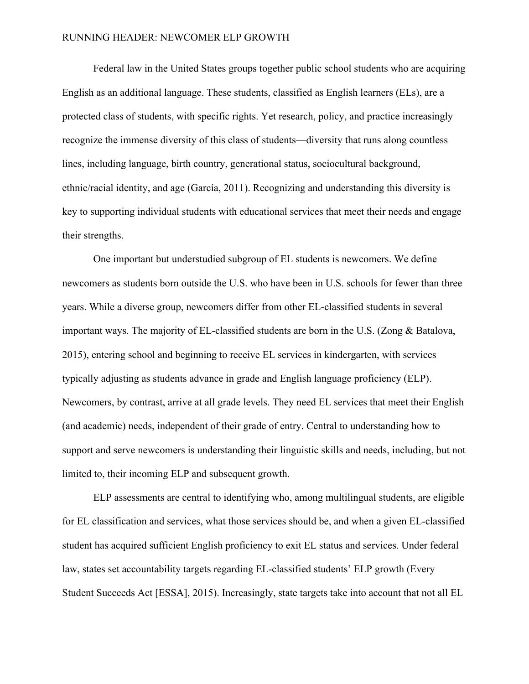Federal law in the United States groups together public school students who are acquiring English as an additional language. These students, classified as English learners (ELs), are a protected class of students, with specific rights. Yet research, policy, and practice increasingly recognize the immense diversity of this class of students—diversity that runs along countless lines, including language, birth country, generational status, sociocultural background, ethnic/racial identity, and age (García, 2011). Recognizing and understanding this diversity is key to supporting individual students with educational services that meet their needs and engage their strengths.

One important but understudied subgroup of EL students is newcomers. We define newcomers as students born outside the U.S. who have been in U.S. schools for fewer than three years. While a diverse group, newcomers differ from other EL-classified students in several important ways. The majority of EL-classified students are born in the U.S. (Zong & Batalova, 2015), entering school and beginning to receive EL services in kindergarten, with services typically adjusting as students advance in grade and English language proficiency (ELP). Newcomers, by contrast, arrive at all grade levels. They need EL services that meet their English (and academic) needs, independent of their grade of entry. Central to understanding how to support and serve newcomers is understanding their linguistic skills and needs, including, but not limited to, their incoming ELP and subsequent growth.

ELP assessments are central to identifying who, among multilingual students, are eligible for EL classification and services, what those services should be, and when a given EL-classified student has acquired sufficient English proficiency to exit EL status and services. Under federal law, states set accountability targets regarding EL-classified students' ELP growth (Every Student Succeeds Act [ESSA], 2015). Increasingly, state targets take into account that not all EL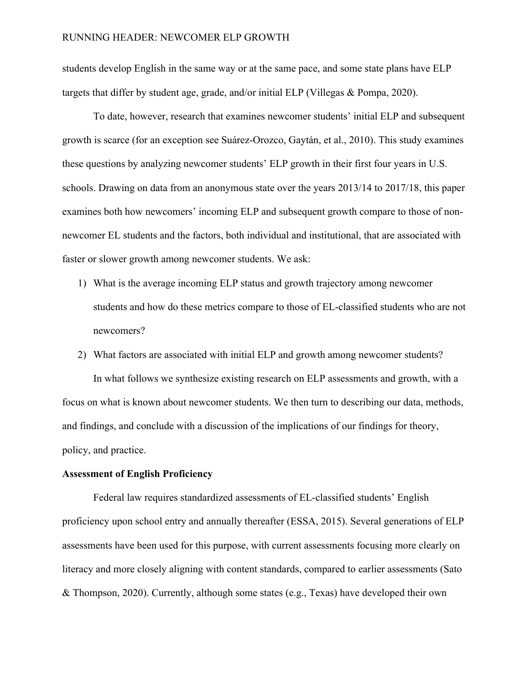students develop English in the same way or at the same pace, and some state plans have ELP targets that differ by student age, grade, and/or initial ELP (Villegas & Pompa, 2020).

To date, however, research that examines newcomer students' initial ELP and subsequent growth is scarce (for an exception see Suárez-Orozco, Gaytán, et al., 2010). This study examines these questions by analyzing newcomer students' ELP growth in their first four years in U.S. schools. Drawing on data from an anonymous state over the years 2013/14 to 2017/18, this paper examines both how newcomers' incoming ELP and subsequent growth compare to those of nonnewcomer EL students and the factors, both individual and institutional, that are associated with faster or slower growth among newcomer students. We ask:

- 1) What is the average incoming ELP status and growth trajectory among newcomer students and how do these metrics compare to those of EL-classified students who are not newcomers?
- 2) What factors are associated with initial ELP and growth among newcomer students? In what follows we synthesize existing research on ELP assessments and growth, with a focus on what is known about newcomer students. We then turn to describing our data, methods, and findings, and conclude with a discussion of the implications of our findings for theory, policy, and practice.

## **Assessment of English Proficiency**

Federal law requires standardized assessments of EL-classified students' English proficiency upon school entry and annually thereafter (ESSA, 2015). Several generations of ELP assessments have been used for this purpose, with current assessments focusing more clearly on literacy and more closely aligning with content standards, compared to earlier assessments (Sato & Thompson, 2020). Currently, although some states (e.g., Texas) have developed their own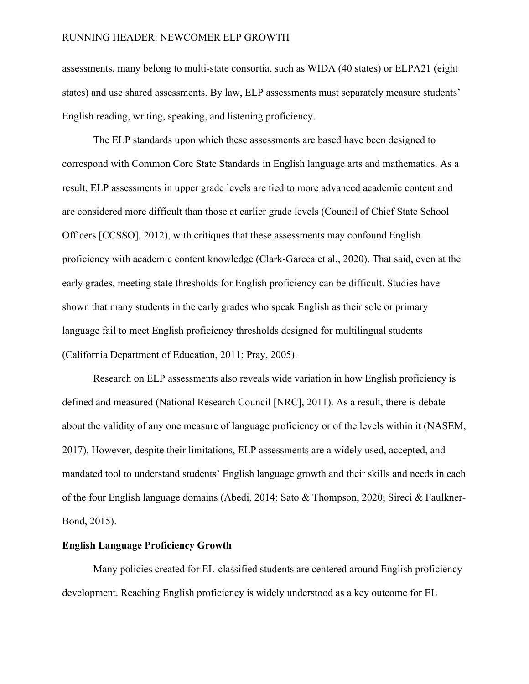assessments, many belong to multi-state consortia, such as WIDA (40 states) or ELPA21 (eight states) and use shared assessments. By law, ELP assessments must separately measure students' English reading, writing, speaking, and listening proficiency.

The ELP standards upon which these assessments are based have been designed to correspond with Common Core State Standards in English language arts and mathematics. As a result, ELP assessments in upper grade levels are tied to more advanced academic content and are considered more difficult than those at earlier grade levels (Council of Chief State School Officers [CCSSO], 2012), with critiques that these assessments may confound English proficiency with academic content knowledge (Clark‐Gareca et al., 2020). That said, even at the early grades, meeting state thresholds for English proficiency can be difficult. Studies have shown that many students in the early grades who speak English as their sole or primary language fail to meet English proficiency thresholds designed for multilingual students (California Department of Education, 2011; Pray, 2005).

Research on ELP assessments also reveals wide variation in how English proficiency is defined and measured (National Research Council [NRC], 2011). As a result, there is debate about the validity of any one measure of language proficiency or of the levels within it (NASEM, 2017). However, despite their limitations, ELP assessments are a widely used, accepted, and mandated tool to understand students' English language growth and their skills and needs in each of the four English language domains (Abedi, 2014; Sato & Thompson, 2020; Sireci & Faulkner-Bond, 2015).

## **English Language Proficiency Growth**

Many policies created for EL-classified students are centered around English proficiency development. Reaching English proficiency is widely understood as a key outcome for EL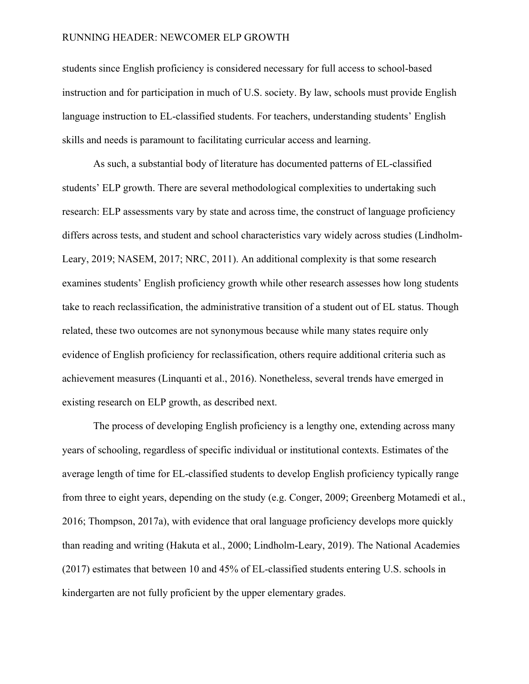students since English proficiency is considered necessary for full access to school-based instruction and for participation in much of U.S. society. By law, schools must provide English language instruction to EL-classified students. For teachers, understanding students' English skills and needs is paramount to facilitating curricular access and learning.

As such, a substantial body of literature has documented patterns of EL-classified students' ELP growth. There are several methodological complexities to undertaking such research: ELP assessments vary by state and across time, the construct of language proficiency differs across tests, and student and school characteristics vary widely across studies (Lindholm-Leary, 2019; NASEM, 2017; NRC, 2011). An additional complexity is that some research examines students' English proficiency growth while other research assesses how long students take to reach reclassification, the administrative transition of a student out of EL status. Though related, these two outcomes are not synonymous because while many states require only evidence of English proficiency for reclassification, others require additional criteria such as achievement measures (Linquanti et al., 2016). Nonetheless, several trends have emerged in existing research on ELP growth, as described next.

The process of developing English proficiency is a lengthy one, extending across many years of schooling, regardless of specific individual or institutional contexts. Estimates of the average length of time for EL-classified students to develop English proficiency typically range from three to eight years, depending on the study (e.g. Conger, 2009; Greenberg Motamedi et al., 2016; Thompson, 2017a), with evidence that oral language proficiency develops more quickly than reading and writing (Hakuta et al., 2000; Lindholm-Leary, 2019). The National Academies (2017) estimates that between 10 and 45% of EL-classified students entering U.S. schools in kindergarten are not fully proficient by the upper elementary grades.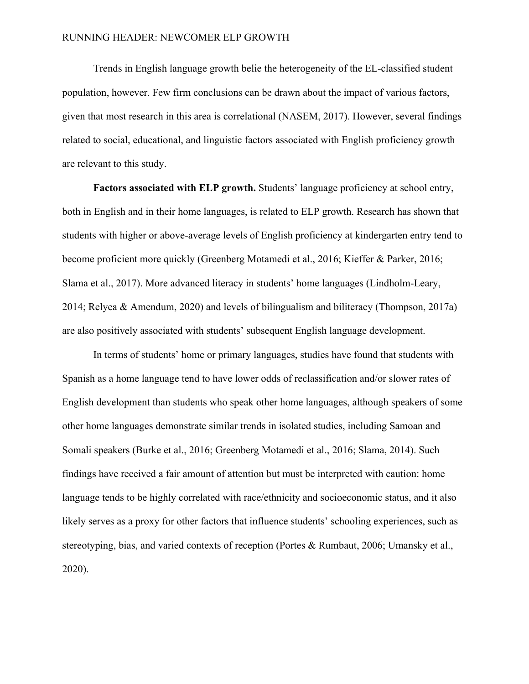Trends in English language growth belie the heterogeneity of the EL-classified student population, however. Few firm conclusions can be drawn about the impact of various factors, given that most research in this area is correlational (NASEM, 2017). However, several findings related to social, educational, and linguistic factors associated with English proficiency growth are relevant to this study.

**Factors associated with ELP growth.** Students' language proficiency at school entry, both in English and in their home languages, is related to ELP growth. Research has shown that students with higher or above-average levels of English proficiency at kindergarten entry tend to become proficient more quickly (Greenberg Motamedi et al., 2016; Kieffer & Parker, 2016; Slama et al., 2017). More advanced literacy in students' home languages (Lindholm-Leary, 2014; Relyea & Amendum, 2020) and levels of bilingualism and biliteracy (Thompson, 2017a) are also positively associated with students' subsequent English language development.

In terms of students' home or primary languages, studies have found that students with Spanish as a home language tend to have lower odds of reclassification and/or slower rates of English development than students who speak other home languages, although speakers of some other home languages demonstrate similar trends in isolated studies, including Samoan and Somali speakers (Burke et al., 2016; Greenberg Motamedi et al., 2016; Slama, 2014). Such findings have received a fair amount of attention but must be interpreted with caution: home language tends to be highly correlated with race/ethnicity and socioeconomic status, and it also likely serves as a proxy for other factors that influence students' schooling experiences, such as stereotyping, bias, and varied contexts of reception (Portes & Rumbaut, 2006; Umansky et al., 2020).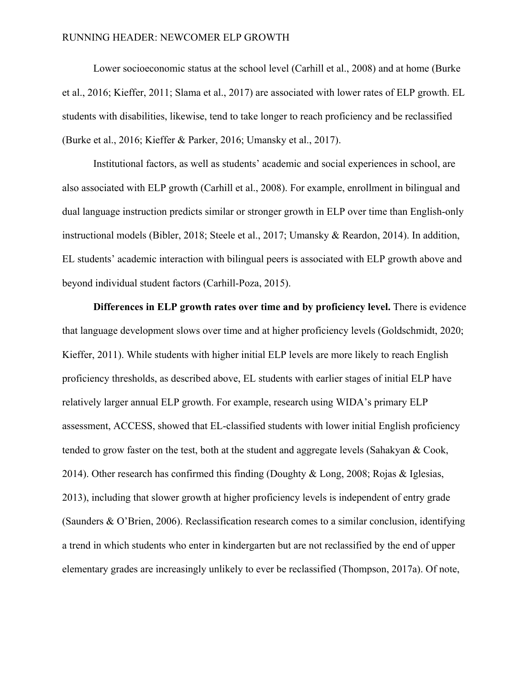Lower socioeconomic status at the school level (Carhill et al., 2008) and at home (Burke et al., 2016; Kieffer, 2011; Slama et al., 2017) are associated with lower rates of ELP growth. EL students with disabilities, likewise, tend to take longer to reach proficiency and be reclassified (Burke et al., 2016; Kieffer & Parker, 2016; Umansky et al., 2017).

Institutional factors, as well as students' academic and social experiences in school, are also associated with ELP growth (Carhill et al., 2008). For example, enrollment in bilingual and dual language instruction predicts similar or stronger growth in ELP over time than English-only instructional models (Bibler, 2018; Steele et al., 2017; Umansky & Reardon, 2014). In addition, EL students' academic interaction with bilingual peers is associated with ELP growth above and beyond individual student factors (Carhill-Poza, 2015).

**Differences in ELP growth rates over time and by proficiency level.** There is evidence that language development slows over time and at higher proficiency levels (Goldschmidt, 2020; Kieffer, 2011). While students with higher initial ELP levels are more likely to reach English proficiency thresholds, as described above, EL students with earlier stages of initial ELP have relatively larger annual ELP growth. For example, research using WIDA's primary ELP assessment, ACCESS, showed that EL-classified students with lower initial English proficiency tended to grow faster on the test, both at the student and aggregate levels (Sahakyan & Cook, 2014). Other research has confirmed this finding (Doughty & Long, 2008; Rojas & Iglesias, 2013), including that slower growth at higher proficiency levels is independent of entry grade (Saunders & O'Brien, 2006). Reclassification research comes to a similar conclusion, identifying a trend in which students who enter in kindergarten but are not reclassified by the end of upper elementary grades are increasingly unlikely to ever be reclassified (Thompson, 2017a). Of note,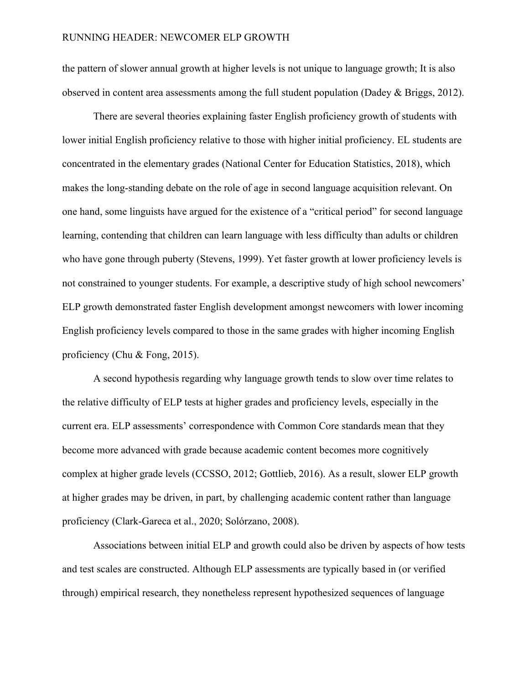the pattern of slower annual growth at higher levels is not unique to language growth; It is also observed in content area assessments among the full student population (Dadey & Briggs, 2012).

There are several theories explaining faster English proficiency growth of students with lower initial English proficiency relative to those with higher initial proficiency. EL students are concentrated in the elementary grades (National Center for Education Statistics, 2018), which makes the long-standing debate on the role of age in second language acquisition relevant. On one hand, some linguists have argued for the existence of a "critical period" for second language learning, contending that children can learn language with less difficulty than adults or children who have gone through puberty (Stevens, 1999). Yet faster growth at lower proficiency levels is not constrained to younger students. For example, a descriptive study of high school newcomers' ELP growth demonstrated faster English development amongst newcomers with lower incoming English proficiency levels compared to those in the same grades with higher incoming English proficiency (Chu & Fong, 2015).

A second hypothesis regarding why language growth tends to slow over time relates to the relative difficulty of ELP tests at higher grades and proficiency levels, especially in the current era. ELP assessments' correspondence with Common Core standards mean that they become more advanced with grade because academic content becomes more cognitively complex at higher grade levels (CCSSO, 2012; Gottlieb, 2016). As a result, slower ELP growth at higher grades may be driven, in part, by challenging academic content rather than language proficiency (Clark‐Gareca et al., 2020; Solórzano, 2008).

Associations between initial ELP and growth could also be driven by aspects of how tests and test scales are constructed. Although ELP assessments are typically based in (or verified through) empirical research, they nonetheless represent hypothesized sequences of language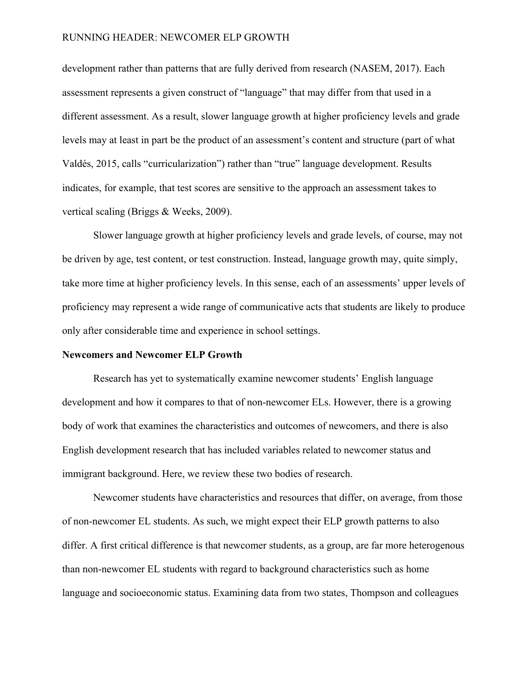development rather than patterns that are fully derived from research (NASEM, 2017). Each assessment represents a given construct of "language" that may differ from that used in a different assessment. As a result, slower language growth at higher proficiency levels and grade levels may at least in part be the product of an assessment's content and structure (part of what Valdés, 2015, calls "curricularization") rather than "true" language development. Results indicates, for example, that test scores are sensitive to the approach an assessment takes to vertical scaling (Briggs & Weeks, 2009).

Slower language growth at higher proficiency levels and grade levels, of course, may not be driven by age, test content, or test construction. Instead, language growth may, quite simply, take more time at higher proficiency levels. In this sense, each of an assessments' upper levels of proficiency may represent a wide range of communicative acts that students are likely to produce only after considerable time and experience in school settings.

#### **Newcomers and Newcomer ELP Growth**

Research has yet to systematically examine newcomer students' English language development and how it compares to that of non-newcomer ELs. However, there is a growing body of work that examines the characteristics and outcomes of newcomers, and there is also English development research that has included variables related to newcomer status and immigrant background. Here, we review these two bodies of research.

Newcomer students have characteristics and resources that differ, on average, from those of non-newcomer EL students. As such, we might expect their ELP growth patterns to also differ. A first critical difference is that newcomer students, as a group, are far more heterogenous than non-newcomer EL students with regard to background characteristics such as home language and socioeconomic status. Examining data from two states, Thompson and colleagues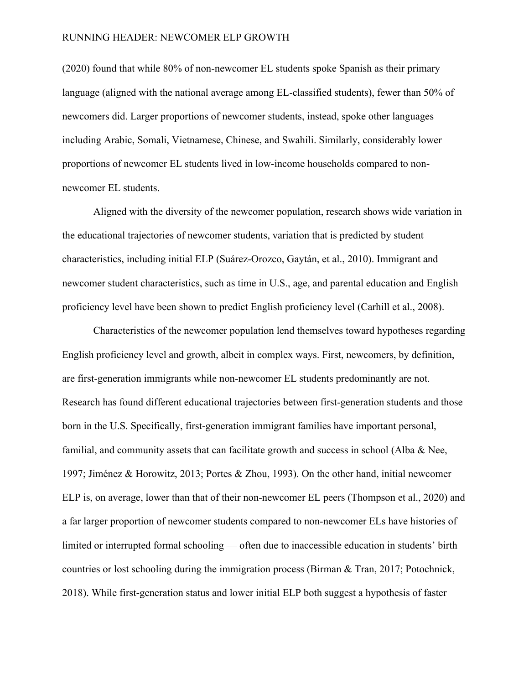(2020) found that while 80% of non-newcomer EL students spoke Spanish as their primary language (aligned with the national average among EL-classified students), fewer than 50% of newcomers did. Larger proportions of newcomer students, instead, spoke other languages including Arabic, Somali, Vietnamese, Chinese, and Swahili. Similarly, considerably lower proportions of newcomer EL students lived in low-income households compared to nonnewcomer EL students.

Aligned with the diversity of the newcomer population, research shows wide variation in the educational trajectories of newcomer students, variation that is predicted by student characteristics, including initial ELP (Suárez-Orozco, Gaytán, et al., 2010). Immigrant and newcomer student characteristics, such as time in U.S., age, and parental education and English proficiency level have been shown to predict English proficiency level (Carhill et al., 2008).

Characteristics of the newcomer population lend themselves toward hypotheses regarding English proficiency level and growth, albeit in complex ways. First, newcomers, by definition, are first-generation immigrants while non-newcomer EL students predominantly are not. Research has found different educational trajectories between first-generation students and those born in the U.S. Specifically, first-generation immigrant families have important personal, familial, and community assets that can facilitate growth and success in school (Alba & Nee, 1997; Jiménez & Horowitz, 2013; Portes & Zhou, 1993). On the other hand, initial newcomer ELP is, on average, lower than that of their non-newcomer EL peers (Thompson et al., 2020) and a far larger proportion of newcomer students compared to non-newcomer ELs have histories of limited or interrupted formal schooling — often due to inaccessible education in students' birth countries or lost schooling during the immigration process (Birman & Tran, 2017; Potochnick, 2018). While first-generation status and lower initial ELP both suggest a hypothesis of faster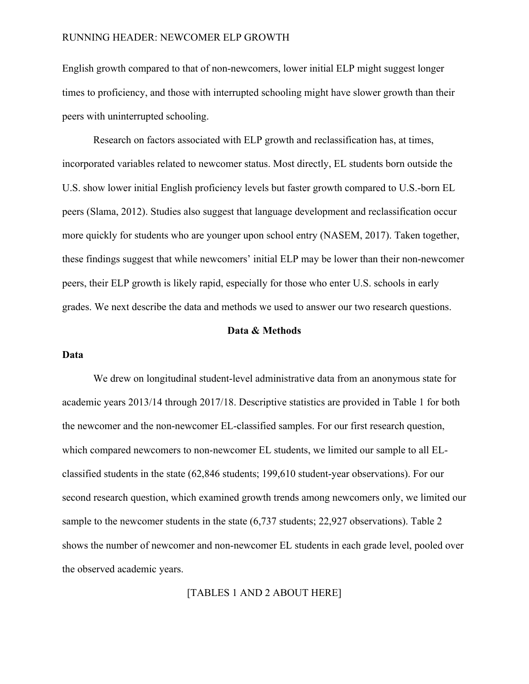English growth compared to that of non-newcomers, lower initial ELP might suggest longer times to proficiency, and those with interrupted schooling might have slower growth than their peers with uninterrupted schooling.

Research on factors associated with ELP growth and reclassification has, at times, incorporated variables related to newcomer status. Most directly, EL students born outside the U.S. show lower initial English proficiency levels but faster growth compared to U.S.-born EL peers (Slama, 2012). Studies also suggest that language development and reclassification occur more quickly for students who are younger upon school entry (NASEM, 2017). Taken together, these findings suggest that while newcomers' initial ELP may be lower than their non-newcomer peers, their ELP growth is likely rapid, especially for those who enter U.S. schools in early grades. We next describe the data and methods we used to answer our two research questions.

## **Data & Methods**

## **Data**

We drew on longitudinal student-level administrative data from an anonymous state for academic years 2013/14 through 2017/18. Descriptive statistics are provided in Table 1 for both the newcomer and the non-newcomer EL-classified samples. For our first research question, which compared newcomers to non-newcomer EL students, we limited our sample to all ELclassified students in the state (62,846 students; 199,610 student-year observations). For our second research question, which examined growth trends among newcomers only, we limited our sample to the newcomer students in the state (6,737 students; 22,927 observations). Table 2 shows the number of newcomer and non-newcomer EL students in each grade level, pooled over the observed academic years.

[TABLES 1 AND 2 ABOUT HERE]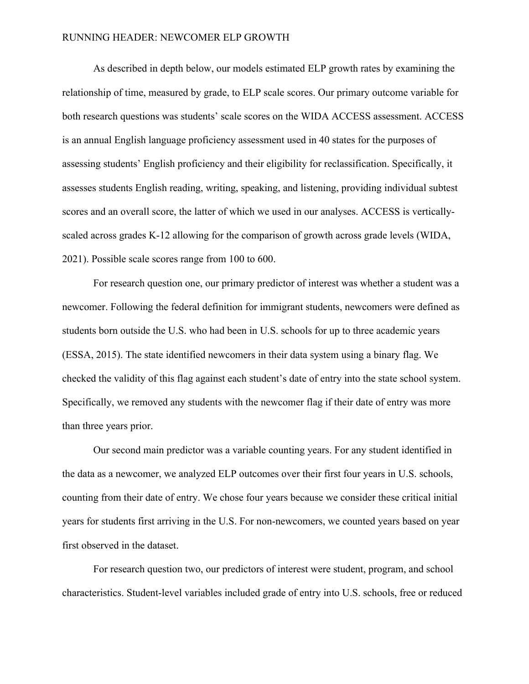As described in depth below, our models estimated ELP growth rates by examining the relationship of time, measured by grade, to ELP scale scores. Our primary outcome variable for both research questions was students' scale scores on the WIDA ACCESS assessment. ACCESS is an annual English language proficiency assessment used in 40 states for the purposes of assessing students' English proficiency and their eligibility for reclassification. Specifically, it assesses students English reading, writing, speaking, and listening, providing individual subtest scores and an overall score, the latter of which we used in our analyses. ACCESS is verticallyscaled across grades K-12 allowing for the comparison of growth across grade levels (WIDA, 2021). Possible scale scores range from 100 to 600.

For research question one, our primary predictor of interest was whether a student was a newcomer. Following the federal definition for immigrant students, newcomers were defined as students born outside the U.S. who had been in U.S. schools for up to three academic years (ESSA, 2015). The state identified newcomers in their data system using a binary flag. We checked the validity of this flag against each student's date of entry into the state school system. Specifically, we removed any students with the newcomer flag if their date of entry was more than three years prior.

Our second main predictor was a variable counting years. For any student identified in the data as a newcomer, we analyzed ELP outcomes over their first four years in U.S. schools, counting from their date of entry. We chose four years because we consider these critical initial years for students first arriving in the U.S. For non-newcomers, we counted years based on year first observed in the dataset.

For research question two, our predictors of interest were student, program, and school characteristics. Student-level variables included grade of entry into U.S. schools, free or reduced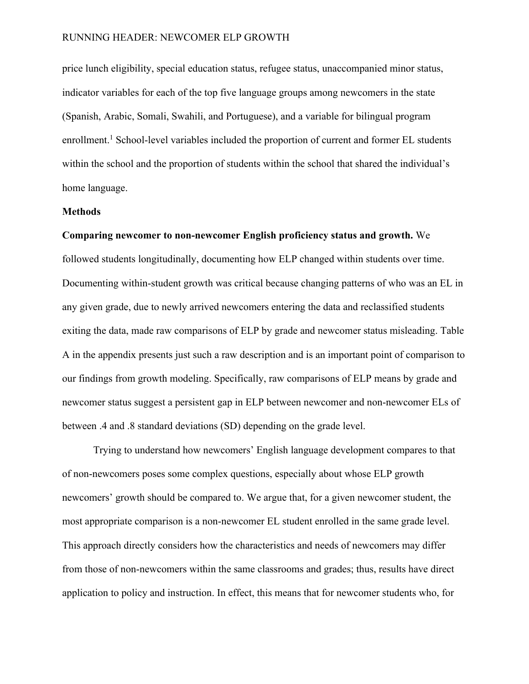price lunch eligibility, special education status, refugee status, unaccompanied minor status, indicator variables for each of the top five language groups among newcomers in the state (Spanish, Arabic, Somali, Swahili, and Portuguese), and a variable for bilingual program enrollment.<sup>1</sup> School-level variables included the proportion of current and former EL students within the school and the proportion of students within the school that shared the individual's home language.

## **Methods**

## **Comparing newcomer to non-newcomer English proficiency status and growth.** We

followed students longitudinally, documenting how ELP changed within students over time. Documenting within-student growth was critical because changing patterns of who was an EL in any given grade, due to newly arrived newcomers entering the data and reclassified students exiting the data, made raw comparisons of ELP by grade and newcomer status misleading. Table A in the appendix presents just such a raw description and is an important point of comparison to our findings from growth modeling. Specifically, raw comparisons of ELP means by grade and newcomer status suggest a persistent gap in ELP between newcomer and non-newcomer ELs of between .4 and .8 standard deviations (SD) depending on the grade level.

Trying to understand how newcomers' English language development compares to that of non-newcomers poses some complex questions, especially about whose ELP growth newcomers' growth should be compared to. We argue that, for a given newcomer student, the most appropriate comparison is a non-newcomer EL student enrolled in the same grade level. This approach directly considers how the characteristics and needs of newcomers may differ from those of non-newcomers within the same classrooms and grades; thus, results have direct application to policy and instruction. In effect, this means that for newcomer students who, for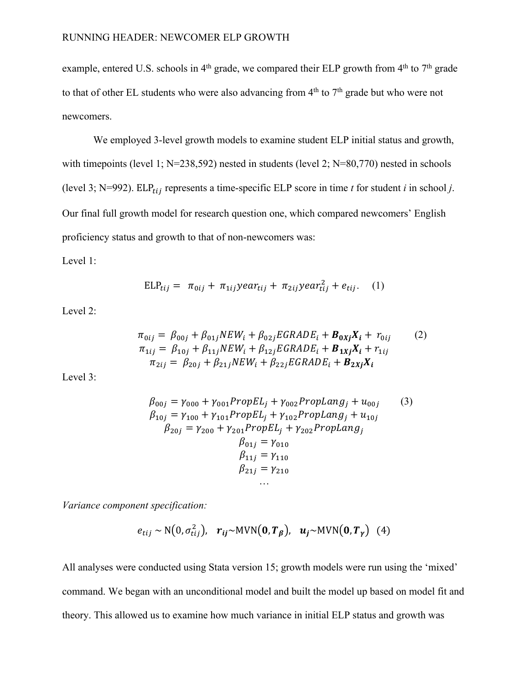example, entered U.S. schools in  $4<sup>th</sup>$  grade, we compared their ELP growth from  $4<sup>th</sup>$  to  $7<sup>th</sup>$  grade to that of other EL students who were also advancing from  $4<sup>th</sup>$  to  $7<sup>th</sup>$  grade but who were not newcomers.

We employed 3-level growth models to examine student ELP initial status and growth, with timepoints (level 1; N=238,592) nested in students (level 2; N=80,770) nested in schools (level 3; N=992). ELP<sub>tij</sub> represents a time-specific ELP score in time *t* for student *i* in school *j*. Our final full growth model for research question one, which compared newcomers' English proficiency status and growth to that of non-newcomers was:

Level 1:

$$
ELP_{tij} = \pi_{0ij} + \pi_{1ij} year_{tij} + \pi_{2ij} year_{tij}^2 + e_{tij}.
$$
 (1)

Level 2:

$$
\pi_{0ij} = \beta_{00j} + \beta_{01j} NEW_i + \beta_{02j} EGRADE_i + B_{0Xj} X_i + r_{0ij}
$$
\n
$$
\pi_{1ij} = \beta_{10j} + \beta_{11j} NEW_i + \beta_{12j} EGRADE_i + B_{1Xj} X_i + r_{1ij}
$$
\n
$$
\pi_{2ij} = \beta_{20j} + \beta_{21j} NEW_i + \beta_{22j} EGRADE_i + B_{2Xj} X_i
$$
\n(2)

Level 3:

$$
\beta_{00j} = \gamma_{000} + \gamma_{001} PropEL_j + \gamma_{002} PropLang_j + u_{00j}
$$
(3)  
\n
$$
\beta_{10j} = \gamma_{100} + \gamma_{101} PropEL_j + \gamma_{102} PropLang_j + u_{10j}
$$
  
\n
$$
\beta_{20j} = \gamma_{200} + \gamma_{201} PropEL_j + \gamma_{202} PropLang_j
$$
  
\n
$$
\beta_{01j} = \gamma_{010}
$$
  
\n
$$
\beta_{11j} = \gamma_{110}
$$
  
\n
$$
\beta_{21j} = \gamma_{210}
$$

*Variance component specification:* 

$$
e_{tij} \sim N(0, \sigma_{tij}^2), \quad r_{ij} \sim MVN(0, T_\beta), \quad u_j \sim MVN(0, T_\gamma)
$$
 (4)

All analyses were conducted using Stata version 15; growth models were run using the 'mixed' command. We began with an unconditional model and built the model up based on model fit and theory. This allowed us to examine how much variance in initial ELP status and growth was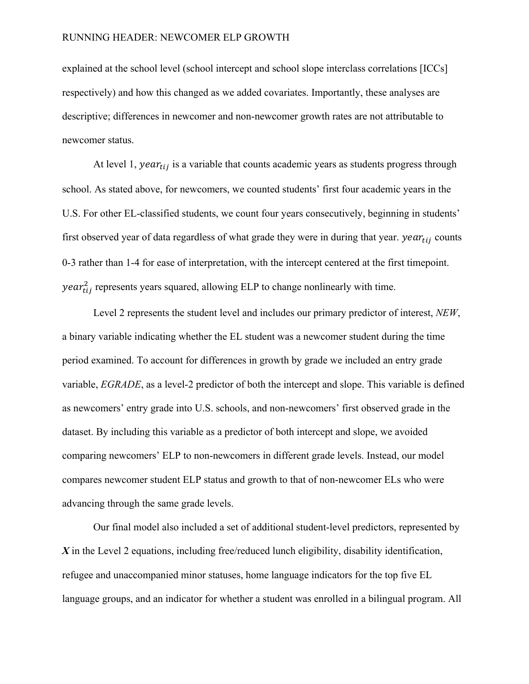explained at the school level (school intercept and school slope interclass correlations [ICCs] respectively) and how this changed as we added covariates. Importantly, these analyses are descriptive; differences in newcomer and non-newcomer growth rates are not attributable to newcomer status.

At level 1,  $year_{tij}$  is a variable that counts academic years as students progress through school. As stated above, for newcomers, we counted students' first four academic years in the U.S. For other EL-classified students, we count four years consecutively, beginning in students' first observed year of data regardless of what grade they were in during that year.  $year_{tij}$  counts 0-3 rather than 1-4 for ease of interpretation, with the intercept centered at the first timepoint. *year* $t_{tij}^2$  represents years squared, allowing ELP to change nonlinearly with time.

Level 2 represents the student level and includes our primary predictor of interest, *NEW*, a binary variable indicating whether the EL student was a newcomer student during the time period examined. To account for differences in growth by grade we included an entry grade variable, *EGRADE*, as a level-2 predictor of both the intercept and slope. This variable is defined as newcomers' entry grade into U.S. schools, and non-newcomers' first observed grade in the dataset. By including this variable as a predictor of both intercept and slope, we avoided comparing newcomers' ELP to non-newcomers in different grade levels. Instead, our model compares newcomer student ELP status and growth to that of non-newcomer ELs who were advancing through the same grade levels.

Our final model also included a set of additional student-level predictors, represented by *X* in the Level 2 equations, including free/reduced lunch eligibility, disability identification, refugee and unaccompanied minor statuses, home language indicators for the top five EL language groups, and an indicator for whether a student was enrolled in a bilingual program. All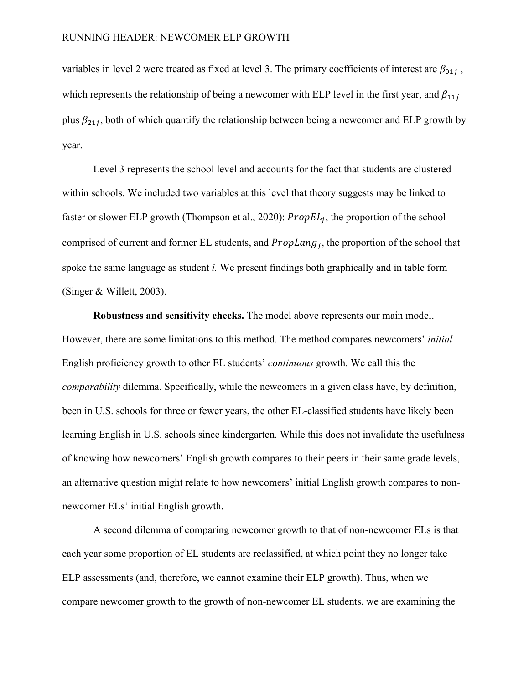variables in level 2 were treated as fixed at level 3. The primary coefficients of interest are  $\beta_{01i}$ , which represents the relationship of being a newcomer with ELP level in the first year, and  $\beta_{11j}$ plus  $\beta_{21i}$ , both of which quantify the relationship between being a newcomer and ELP growth by year.

Level 3 represents the school level and accounts for the fact that students are clustered within schools. We included two variables at this level that theory suggests may be linked to faster or slower ELP growth (Thompson et al., 2020):  $PropEL_i$ , the proportion of the school comprised of current and former EL students, and  $PropLang_i$ , the proportion of the school that spoke the same language as student *i.* We present findings both graphically and in table form (Singer & Willett, 2003).

**Robustness and sensitivity checks.** The model above represents our main model. However, there are some limitations to this method. The method compares newcomers' *initial*  English proficiency growth to other EL students' *continuous* growth. We call this the *comparability* dilemma. Specifically, while the newcomers in a given class have, by definition, been in U.S. schools for three or fewer years, the other EL-classified students have likely been learning English in U.S. schools since kindergarten. While this does not invalidate the usefulness of knowing how newcomers' English growth compares to their peers in their same grade levels, an alternative question might relate to how newcomers' initial English growth compares to nonnewcomer ELs' initial English growth.

A second dilemma of comparing newcomer growth to that of non-newcomer ELs is that each year some proportion of EL students are reclassified, at which point they no longer take ELP assessments (and, therefore, we cannot examine their ELP growth). Thus, when we compare newcomer growth to the growth of non-newcomer EL students, we are examining the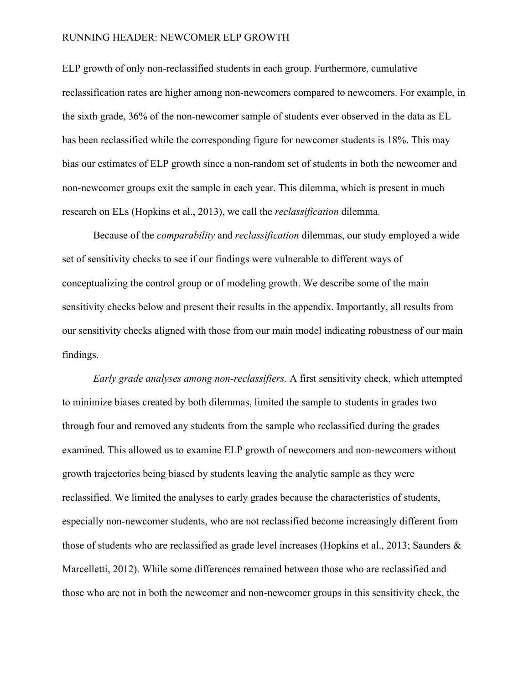ELP growth of only non-reclassified students in each group. Furthermore, cumulative reclassification rates are higher among non-newcomers compared to newcomers. For example, in the sixth grade, 36% of the non-newcomer sample of students ever observed in the data as EL has been reclassified while the corresponding figure for newcomer students is 18%. This may bias our estimates of ELP growth since a non-random set of students in both the newcomer and non-newcomer groups exit the sample in each year. This dilemma, which is present in much research on ELs (Hopkins et al., 2013), we call the *reclassification* dilemma.

Because of the *comparability* and *reclassification* dilemmas, our study employed a wide set of sensitivity checks to see if our findings were vulnerable to different ways of conceptualizing the control group or of modeling growth. We describe some of the main sensitivity checks below and present their results in the appendix. Importantly, all results from our sensitivity checks aligned with those from our main model indicating robustness of our main findings.

*Early grade analyses among non-reclassifiers.* A first sensitivity check, which attempted to minimize biases created by both dilemmas, limited the sample to students in grades two through four and removed any students from the sample who reclassified during the grades examined. This allowed us to examine ELP growth of newcomers and non-newcomers without growth trajectories being biased by students leaving the analytic sample as they were reclassified. We limited the analyses to early grades because the characteristics of students, especially non-newcomer students, who are not reclassified become increasingly different from those of students who are reclassified as grade level increases (Hopkins et al., 2013; Saunders & Marcelletti, 2012). While some differences remained between those who are reclassified and those who are not in both the newcomer and non-newcomer groups in this sensitivity check, the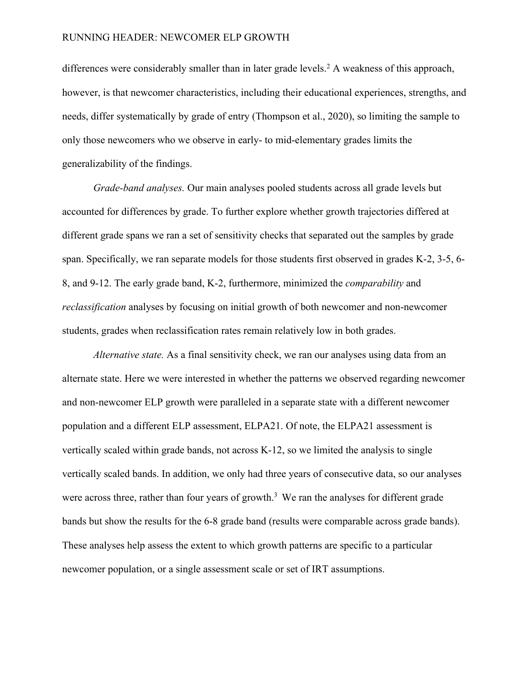differences were considerably smaller than in later grade levels.<sup>2</sup> A weakness of this approach, however, is that newcomer characteristics, including their educational experiences, strengths, and needs, differ systematically by grade of entry (Thompson et al., 2020), so limiting the sample to only those newcomers who we observe in early- to mid-elementary grades limits the generalizability of the findings.

*Grade-band analyses.* Our main analyses pooled students across all grade levels but accounted for differences by grade. To further explore whether growth trajectories differed at different grade spans we ran a set of sensitivity checks that separated out the samples by grade span. Specifically, we ran separate models for those students first observed in grades K-2, 3-5, 6- 8, and 9-12. The early grade band, K-2, furthermore, minimized the *comparability* and *reclassification* analyses by focusing on initial growth of both newcomer and non-newcomer students, grades when reclassification rates remain relatively low in both grades.

*Alternative state.* As a final sensitivity check, we ran our analyses using data from an alternate state. Here we were interested in whether the patterns we observed regarding newcomer and non-newcomer ELP growth were paralleled in a separate state with a different newcomer population and a different ELP assessment, ELPA21. Of note, the ELPA21 assessment is vertically scaled within grade bands, not across K-12, so we limited the analysis to single vertically scaled bands. In addition, we only had three years of consecutive data, so our analyses were across three, rather than four years of growth.<sup>3</sup> We ran the analyses for different grade bands but show the results for the 6-8 grade band (results were comparable across grade bands). These analyses help assess the extent to which growth patterns are specific to a particular newcomer population, or a single assessment scale or set of IRT assumptions.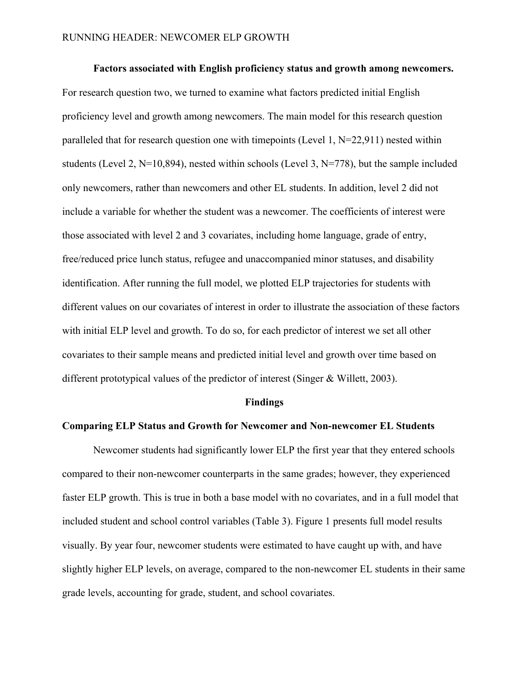**Factors associated with English proficiency status and growth among newcomers.**  For research question two, we turned to examine what factors predicted initial English proficiency level and growth among newcomers. The main model for this research question paralleled that for research question one with timepoints (Level 1,  $N=22,911$ ) nested within students (Level 2, N=10,894), nested within schools (Level 3, N=778), but the sample included only newcomers, rather than newcomers and other EL students. In addition, level 2 did not include a variable for whether the student was a newcomer. The coefficients of interest were those associated with level 2 and 3 covariates, including home language, grade of entry, free/reduced price lunch status, refugee and unaccompanied minor statuses, and disability identification. After running the full model, we plotted ELP trajectories for students with different values on our covariates of interest in order to illustrate the association of these factors with initial ELP level and growth. To do so, for each predictor of interest we set all other covariates to their sample means and predicted initial level and growth over time based on different prototypical values of the predictor of interest (Singer & Willett, 2003).

#### **Findings**

## **Comparing ELP Status and Growth for Newcomer and Non-newcomer EL Students**

Newcomer students had significantly lower ELP the first year that they entered schools compared to their non-newcomer counterparts in the same grades; however, they experienced faster ELP growth. This is true in both a base model with no covariates, and in a full model that included student and school control variables (Table 3). Figure 1 presents full model results visually. By year four, newcomer students were estimated to have caught up with, and have slightly higher ELP levels, on average, compared to the non-newcomer EL students in their same grade levels, accounting for grade, student, and school covariates.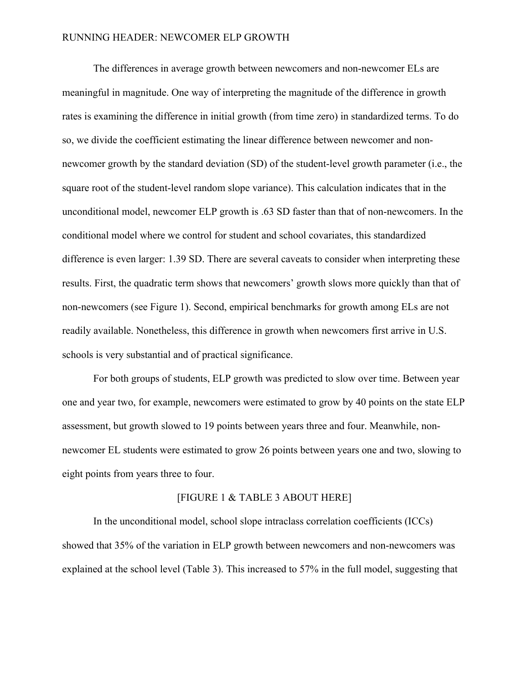The differences in average growth between newcomers and non-newcomer ELs are meaningful in magnitude. One way of interpreting the magnitude of the difference in growth rates is examining the difference in initial growth (from time zero) in standardized terms. To do so, we divide the coefficient estimating the linear difference between newcomer and nonnewcomer growth by the standard deviation (SD) of the student-level growth parameter (i.e., the square root of the student-level random slope variance). This calculation indicates that in the unconditional model, newcomer ELP growth is .63 SD faster than that of non-newcomers. In the conditional model where we control for student and school covariates, this standardized difference is even larger: 1.39 SD. There are several caveats to consider when interpreting these results. First, the quadratic term shows that newcomers' growth slows more quickly than that of non-newcomers (see Figure 1). Second, empirical benchmarks for growth among ELs are not readily available. Nonetheless, this difference in growth when newcomers first arrive in U.S. schools is very substantial and of practical significance.

For both groups of students, ELP growth was predicted to slow over time. Between year one and year two, for example, newcomers were estimated to grow by 40 points on the state ELP assessment, but growth slowed to 19 points between years three and four. Meanwhile, nonnewcomer EL students were estimated to grow 26 points between years one and two, slowing to eight points from years three to four.

#### [FIGURE 1 & TABLE 3 ABOUT HERE]

In the unconditional model, school slope intraclass correlation coefficients (ICCs) showed that 35% of the variation in ELP growth between newcomers and non-newcomers was explained at the school level (Table 3). This increased to 57% in the full model, suggesting that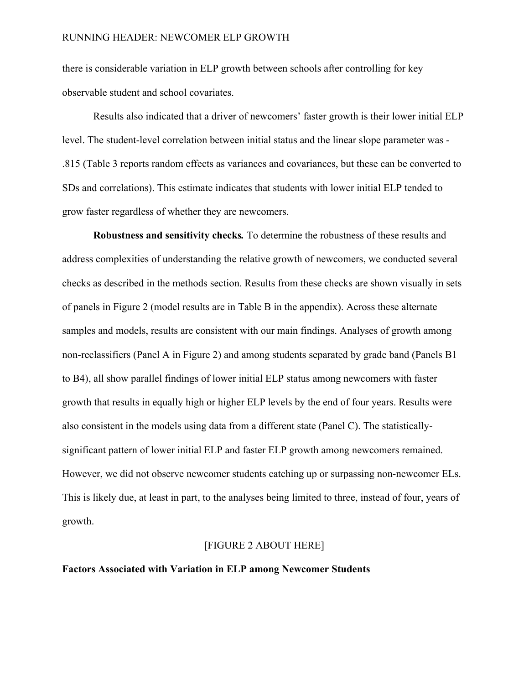there is considerable variation in ELP growth between schools after controlling for key observable student and school covariates.

Results also indicated that a driver of newcomers' faster growth is their lower initial ELP level. The student-level correlation between initial status and the linear slope parameter was - .815 (Table 3 reports random effects as variances and covariances, but these can be converted to SDs and correlations). This estimate indicates that students with lower initial ELP tended to grow faster regardless of whether they are newcomers.

**Robustness and sensitivity checks***.* To determine the robustness of these results and address complexities of understanding the relative growth of newcomers, we conducted several checks as described in the methods section. Results from these checks are shown visually in sets of panels in Figure 2 (model results are in Table B in the appendix). Across these alternate samples and models, results are consistent with our main findings. Analyses of growth among non-reclassifiers (Panel A in Figure 2) and among students separated by grade band (Panels B1 to B4), all show parallel findings of lower initial ELP status among newcomers with faster growth that results in equally high or higher ELP levels by the end of four years. Results were also consistent in the models using data from a different state (Panel C). The statisticallysignificant pattern of lower initial ELP and faster ELP growth among newcomers remained. However, we did not observe newcomer students catching up or surpassing non-newcomer ELs. This is likely due, at least in part, to the analyses being limited to three, instead of four, years of growth.

#### [FIGURE 2 ABOUT HERE]

## **Factors Associated with Variation in ELP among Newcomer Students**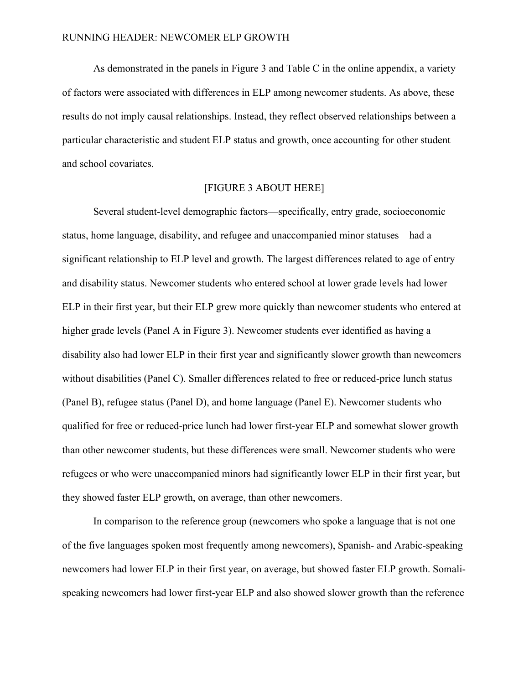As demonstrated in the panels in Figure 3 and Table C in the online appendix, a variety of factors were associated with differences in ELP among newcomer students. As above, these results do not imply causal relationships. Instead, they reflect observed relationships between a particular characteristic and student ELP status and growth, once accounting for other student and school covariates.

# [FIGURE 3 ABOUT HERE]

Several student-level demographic factors—specifically, entry grade, socioeconomic status, home language, disability, and refugee and unaccompanied minor statuses—had a significant relationship to ELP level and growth. The largest differences related to age of entry and disability status. Newcomer students who entered school at lower grade levels had lower ELP in their first year, but their ELP grew more quickly than newcomer students who entered at higher grade levels (Panel A in Figure 3). Newcomer students ever identified as having a disability also had lower ELP in their first year and significantly slower growth than newcomers without disabilities (Panel C). Smaller differences related to free or reduced-price lunch status (Panel B), refugee status (Panel D), and home language (Panel E). Newcomer students who qualified for free or reduced-price lunch had lower first-year ELP and somewhat slower growth than other newcomer students, but these differences were small. Newcomer students who were refugees or who were unaccompanied minors had significantly lower ELP in their first year, but they showed faster ELP growth, on average, than other newcomers.

In comparison to the reference group (newcomers who spoke a language that is not one of the five languages spoken most frequently among newcomers), Spanish- and Arabic-speaking newcomers had lower ELP in their first year, on average, but showed faster ELP growth. Somalispeaking newcomers had lower first-year ELP and also showed slower growth than the reference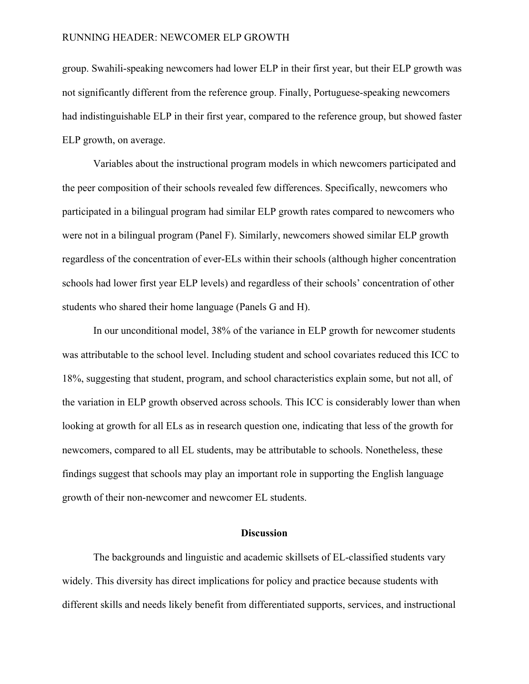group. Swahili-speaking newcomers had lower ELP in their first year, but their ELP growth was not significantly different from the reference group. Finally, Portuguese-speaking newcomers had indistinguishable ELP in their first year, compared to the reference group, but showed faster ELP growth, on average.

Variables about the instructional program models in which newcomers participated and the peer composition of their schools revealed few differences. Specifically, newcomers who participated in a bilingual program had similar ELP growth rates compared to newcomers who were not in a bilingual program (Panel F). Similarly, newcomers showed similar ELP growth regardless of the concentration of ever-ELs within their schools (although higher concentration schools had lower first year ELP levels) and regardless of their schools' concentration of other students who shared their home language (Panels G and H).

In our unconditional model, 38% of the variance in ELP growth for newcomer students was attributable to the school level. Including student and school covariates reduced this ICC to 18%, suggesting that student, program, and school characteristics explain some, but not all, of the variation in ELP growth observed across schools. This ICC is considerably lower than when looking at growth for all ELs as in research question one, indicating that less of the growth for newcomers, compared to all EL students, may be attributable to schools. Nonetheless, these findings suggest that schools may play an important role in supporting the English language growth of their non-newcomer and newcomer EL students.

## **Discussion**

The backgrounds and linguistic and academic skillsets of EL-classified students vary widely. This diversity has direct implications for policy and practice because students with different skills and needs likely benefit from differentiated supports, services, and instructional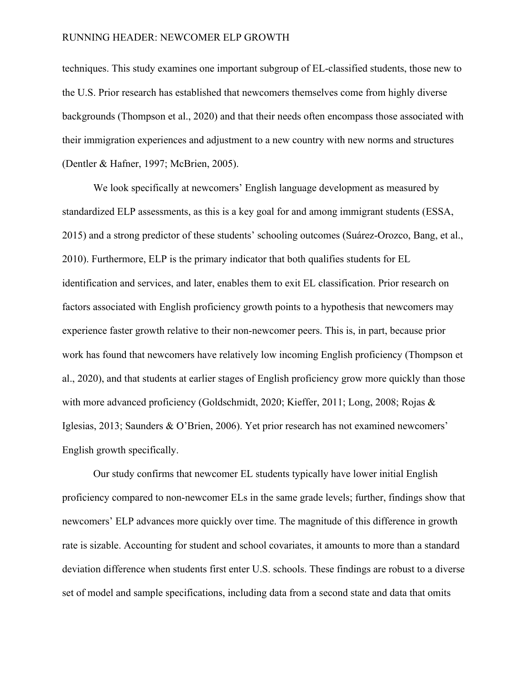techniques. This study examines one important subgroup of EL-classified students, those new to the U.S. Prior research has established that newcomers themselves come from highly diverse backgrounds (Thompson et al., 2020) and that their needs often encompass those associated with their immigration experiences and adjustment to a new country with new norms and structures (Dentler & Hafner, 1997; McBrien, 2005).

We look specifically at newcomers' English language development as measured by standardized ELP assessments, as this is a key goal for and among immigrant students (ESSA, 2015) and a strong predictor of these students' schooling outcomes (Suárez-Orozco, Bang, et al., 2010). Furthermore, ELP is the primary indicator that both qualifies students for EL identification and services, and later, enables them to exit EL classification. Prior research on factors associated with English proficiency growth points to a hypothesis that newcomers may experience faster growth relative to their non-newcomer peers. This is, in part, because prior work has found that newcomers have relatively low incoming English proficiency (Thompson et al., 2020), and that students at earlier stages of English proficiency grow more quickly than those with more advanced proficiency (Goldschmidt, 2020; Kieffer, 2011; Long, 2008; Rojas & Iglesias, 2013; Saunders & O'Brien, 2006). Yet prior research has not examined newcomers' English growth specifically.

Our study confirms that newcomer EL students typically have lower initial English proficiency compared to non-newcomer ELs in the same grade levels; further, findings show that newcomers' ELP advances more quickly over time. The magnitude of this difference in growth rate is sizable. Accounting for student and school covariates, it amounts to more than a standard deviation difference when students first enter U.S. schools. These findings are robust to a diverse set of model and sample specifications, including data from a second state and data that omits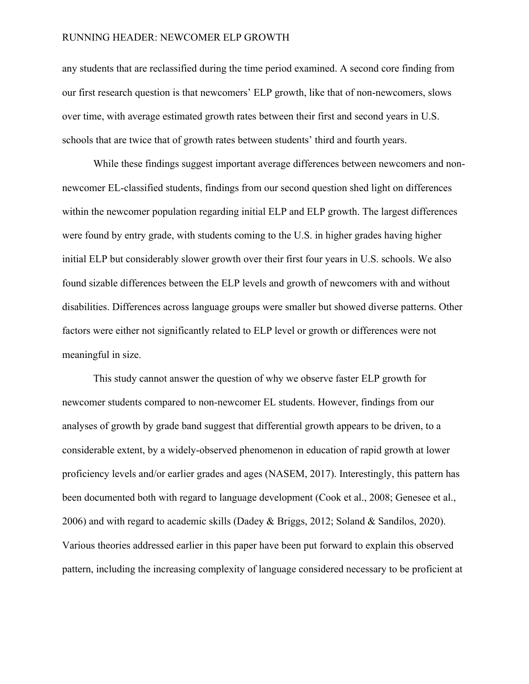any students that are reclassified during the time period examined. A second core finding from our first research question is that newcomers' ELP growth, like that of non-newcomers, slows over time, with average estimated growth rates between their first and second years in U.S. schools that are twice that of growth rates between students' third and fourth years.

While these findings suggest important average differences between newcomers and nonnewcomer EL-classified students, findings from our second question shed light on differences within the newcomer population regarding initial ELP and ELP growth. The largest differences were found by entry grade, with students coming to the U.S. in higher grades having higher initial ELP but considerably slower growth over their first four years in U.S. schools. We also found sizable differences between the ELP levels and growth of newcomers with and without disabilities. Differences across language groups were smaller but showed diverse patterns. Other factors were either not significantly related to ELP level or growth or differences were not meaningful in size.

This study cannot answer the question of why we observe faster ELP growth for newcomer students compared to non-newcomer EL students. However, findings from our analyses of growth by grade band suggest that differential growth appears to be driven, to a considerable extent, by a widely-observed phenomenon in education of rapid growth at lower proficiency levels and/or earlier grades and ages (NASEM, 2017). Interestingly, this pattern has been documented both with regard to language development (Cook et al., 2008; Genesee et al., 2006) and with regard to academic skills (Dadey & Briggs, 2012; Soland & Sandilos, 2020). Various theories addressed earlier in this paper have been put forward to explain this observed pattern, including the increasing complexity of language considered necessary to be proficient at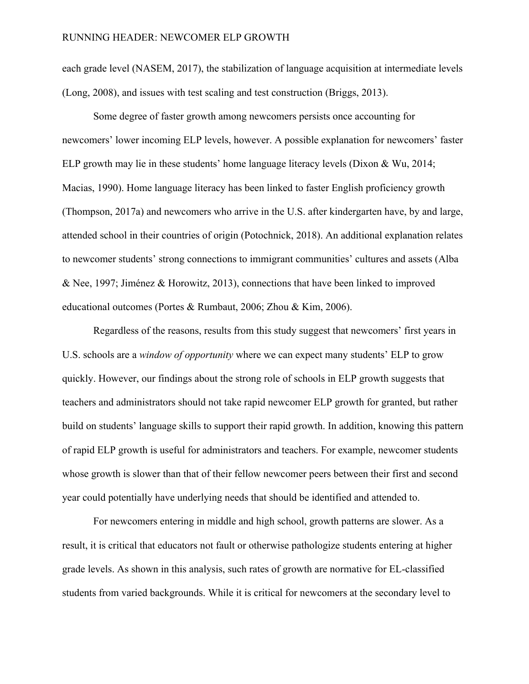each grade level (NASEM, 2017), the stabilization of language acquisition at intermediate levels (Long, 2008), and issues with test scaling and test construction (Briggs, 2013).

Some degree of faster growth among newcomers persists once accounting for newcomers' lower incoming ELP levels, however. A possible explanation for newcomers' faster ELP growth may lie in these students' home language literacy levels (Dixon & Wu, 2014; Macias, 1990). Home language literacy has been linked to faster English proficiency growth (Thompson, 2017a) and newcomers who arrive in the U.S. after kindergarten have, by and large, attended school in their countries of origin (Potochnick, 2018). An additional explanation relates to newcomer students' strong connections to immigrant communities' cultures and assets (Alba & Nee, 1997; Jiménez & Horowitz, 2013), connections that have been linked to improved educational outcomes (Portes & Rumbaut, 2006; Zhou & Kim, 2006).

Regardless of the reasons, results from this study suggest that newcomers' first years in U.S. schools are a *window of opportunity* where we can expect many students' ELP to grow quickly. However, our findings about the strong role of schools in ELP growth suggests that teachers and administrators should not take rapid newcomer ELP growth for granted, but rather build on students' language skills to support their rapid growth. In addition, knowing this pattern of rapid ELP growth is useful for administrators and teachers. For example, newcomer students whose growth is slower than that of their fellow newcomer peers between their first and second year could potentially have underlying needs that should be identified and attended to.

For newcomers entering in middle and high school, growth patterns are slower. As a result, it is critical that educators not fault or otherwise pathologize students entering at higher grade levels. As shown in this analysis, such rates of growth are normative for EL-classified students from varied backgrounds. While it is critical for newcomers at the secondary level to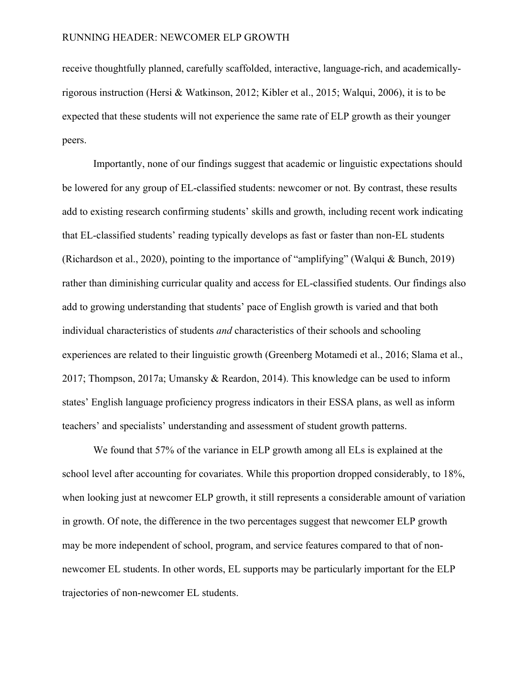receive thoughtfully planned, carefully scaffolded, interactive, language-rich, and academicallyrigorous instruction (Hersi & Watkinson, 2012; Kibler et al., 2015; Walqui, 2006), it is to be expected that these students will not experience the same rate of ELP growth as their younger peers.

Importantly, none of our findings suggest that academic or linguistic expectations should be lowered for any group of EL-classified students: newcomer or not. By contrast, these results add to existing research confirming students' skills and growth, including recent work indicating that EL-classified students' reading typically develops as fast or faster than non-EL students (Richardson et al., 2020), pointing to the importance of "amplifying" (Walqui & Bunch, 2019) rather than diminishing curricular quality and access for EL-classified students. Our findings also add to growing understanding that students' pace of English growth is varied and that both individual characteristics of students *and* characteristics of their schools and schooling experiences are related to their linguistic growth (Greenberg Motamedi et al., 2016; Slama et al., 2017; Thompson, 2017a; Umansky & Reardon, 2014). This knowledge can be used to inform states' English language proficiency progress indicators in their ESSA plans, as well as inform teachers' and specialists' understanding and assessment of student growth patterns.

We found that 57% of the variance in ELP growth among all ELs is explained at the school level after accounting for covariates. While this proportion dropped considerably, to 18%, when looking just at newcomer ELP growth, it still represents a considerable amount of variation in growth. Of note, the difference in the two percentages suggest that newcomer ELP growth may be more independent of school, program, and service features compared to that of nonnewcomer EL students. In other words, EL supports may be particularly important for the ELP trajectories of non-newcomer EL students.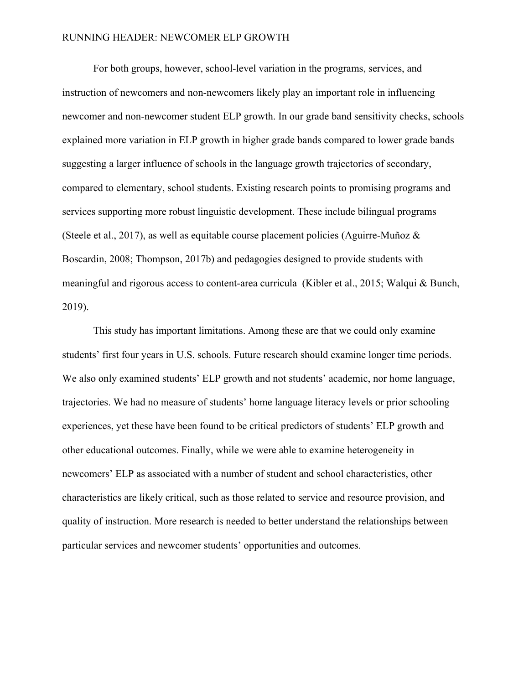For both groups, however, school-level variation in the programs, services, and instruction of newcomers and non-newcomers likely play an important role in influencing newcomer and non-newcomer student ELP growth. In our grade band sensitivity checks, schools explained more variation in ELP growth in higher grade bands compared to lower grade bands suggesting a larger influence of schools in the language growth trajectories of secondary, compared to elementary, school students. Existing research points to promising programs and services supporting more robust linguistic development. These include bilingual programs (Steele et al., 2017), as well as equitable course placement policies (Aguirre-Muñoz & Boscardin, 2008; Thompson, 2017b) and pedagogies designed to provide students with meaningful and rigorous access to content-area curricula (Kibler et al., 2015; Walqui & Bunch, 2019).

This study has important limitations. Among these are that we could only examine students' first four years in U.S. schools. Future research should examine longer time periods. We also only examined students' ELP growth and not students' academic, nor home language, trajectories. We had no measure of students' home language literacy levels or prior schooling experiences, yet these have been found to be critical predictors of students' ELP growth and other educational outcomes. Finally, while we were able to examine heterogeneity in newcomers' ELP as associated with a number of student and school characteristics, other characteristics are likely critical, such as those related to service and resource provision, and quality of instruction. More research is needed to better understand the relationships between particular services and newcomer students' opportunities and outcomes.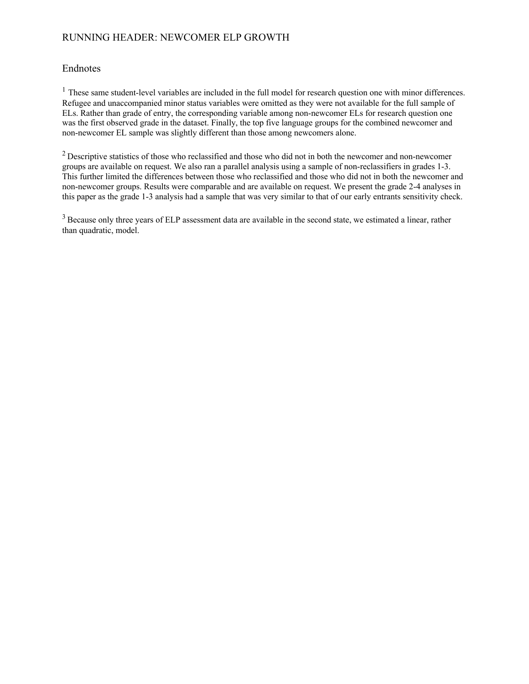## Endnotes

 $<sup>1</sup>$  These same student-level variables are included in the full model for research question one with minor differences.</sup> Refugee and unaccompanied minor status variables were omitted as they were not available for the full sample of ELs. Rather than grade of entry, the corresponding variable among non-newcomer ELs for research question one was the first observed grade in the dataset. Finally, the top five language groups for the combined newcomer and non-newcomer EL sample was slightly different than those among newcomers alone.

<sup>2</sup> Descriptive statistics of those who reclassified and those who did not in both the newcomer and non-newcomer groups are available on request. We also ran a parallel analysis using a sample of non-reclassifiers in grades 1-3. This further limited the differences between those who reclassified and those who did not in both the newcomer and non-newcomer groups. Results were comparable and are available on request. We present the grade 2-4 analyses in this paper as the grade 1-3 analysis had a sample that was very similar to that of our early entrants sensitivity check.

<sup>3</sup> Because only three years of ELP assessment data are available in the second state, we estimated a linear, rather than quadratic, model.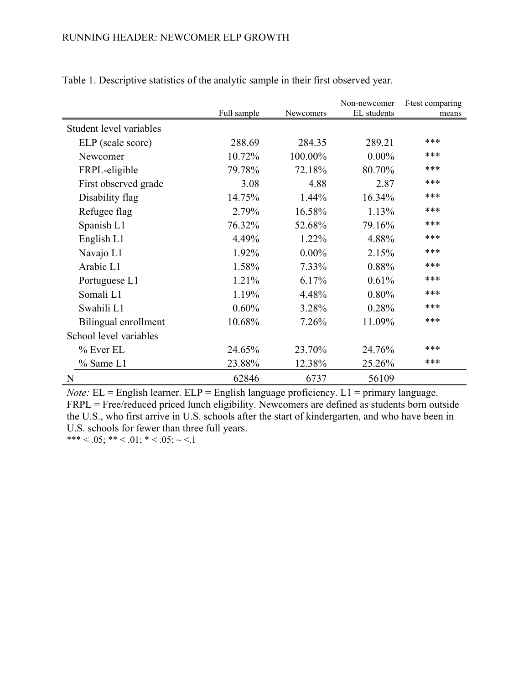|                         |             |                  | Non-newcomer | f-test comparing |
|-------------------------|-------------|------------------|--------------|------------------|
|                         | Full sample | <b>Newcomers</b> | EL students  | means            |
| Student level variables |             |                  |              |                  |
| ELP (scale score)       | 288.69      | 284.35           | 289.21       | ***              |
| Newcomer                | 10.72%      | 100.00%          | $0.00\%$     | ***              |
| FRPL-eligible           | 79.78%      | 72.18%           | 80.70%       | ***              |
| First observed grade    | 3.08        | 4.88             | 2.87         | ***              |
| Disability flag         | 14.75%      | 1.44%            | 16.34%       | ***              |
| Refugee flag            | 2.79%       | 16.58%           | 1.13%        | ***              |
| Spanish L1              | 76.32%      | 52.68%           | 79.16%       | ***              |
| English L1              | 4.49%       | 1.22%            | 4.88%        | ***              |
| Navajo L1               | 1.92%       | $0.00\%$         | 2.15%        | ***              |
| Arabic L1               | 1.58%       | 7.33%            | 0.88%        | ***              |
| Portuguese L1           | 1.21%       | 6.17%            | 0.61%        | ***              |
| Somali L1               | 1.19%       | 4.48%            | 0.80%        | ***              |
| Swahili L1              | 0.60%       | 3.28%            | 0.28%        | ***              |
| Bilingual enrollment    | 10.68%      | 7.26%            | 11.09%       | ***              |
| School level variables  |             |                  |              |                  |
| % Ever EL               | 24.65%      | 23.70%           | 24.76%       | ***              |
| % Same L1               | 23.88%      | 12.38%           | 25.26%       | ***              |
| N                       | 62846       | 6737             | 56109        |                  |

Table 1. Descriptive statistics of the analytic sample in their first observed year.

*Note:* EL = English learner. ELP = English language proficiency. L1 = primary language. FRPL = Free/reduced priced lunch eligibility. Newcomers are defined as students born outside the U.S., who first arrive in U.S. schools after the start of kindergarten, and who have been in U.S. schools for fewer than three full years.

\*\*\* < .05; \*\* < .01; \* < .05; ~ <.1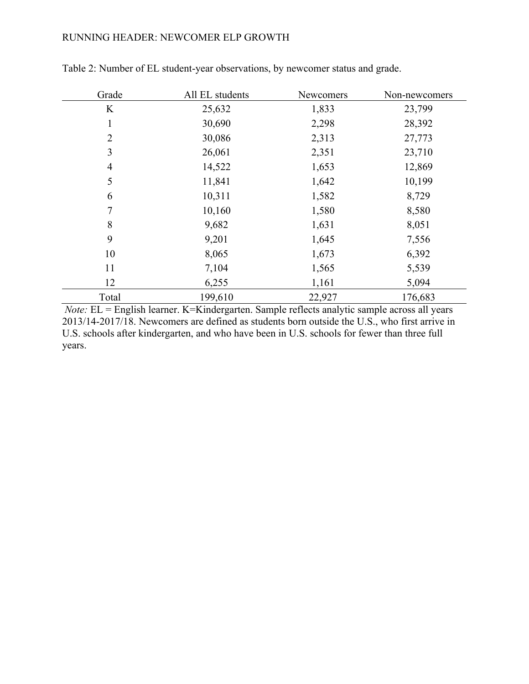| Grade          | All EL students | Newcomers | Non-newcomers |
|----------------|-----------------|-----------|---------------|
| K              | 25,632          | 1,833     | 23,799        |
| 1              | 30,690          | 2,298     | 28,392        |
| $\overline{2}$ | 30,086          | 2,313     | 27,773        |
| 3              | 26,061          | 2,351     | 23,710        |
| $\overline{4}$ | 14,522          | 1,653     | 12,869        |
| 5              | 11,841          | 1,642     | 10,199        |
| 6              | 10,311          | 1,582     | 8,729         |
| 7              | 10,160          | 1,580     | 8,580         |
| 8              | 9,682           | 1,631     | 8,051         |
| 9              | 9,201           | 1,645     | 7,556         |
| 10             | 8,065           | 1,673     | 6,392         |
| 11             | 7,104           | 1,565     | 5,539         |
| 12             | 6,255           | 1,161     | 5,094         |
| Total          | 199,610         | 22,927    | 176,683       |

Table 2: Number of EL student-year observations, by newcomer status and grade.

*Note:* EL = English learner. K=Kindergarten. Sample reflects analytic sample across all years 2013/14-2017/18. Newcomers are defined as students born outside the U.S., who first arrive in U.S. schools after kindergarten, and who have been in U.S. schools for fewer than three full years.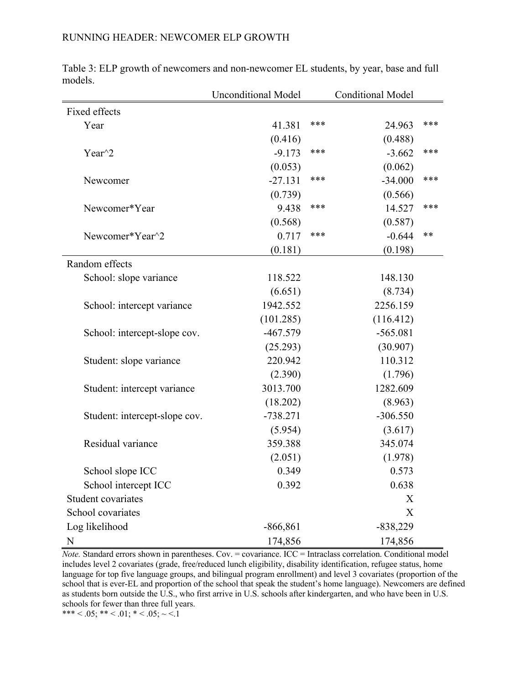|                               | <b>Unconditional Model</b> |     | <b>Conditional Model</b> |     |
|-------------------------------|----------------------------|-----|--------------------------|-----|
| Fixed effects                 |                            |     |                          |     |
| Year                          | 41.381                     | *** | 24.963                   | *** |
|                               | (0.416)                    |     | (0.488)                  |     |
| Year $\gamma$ 2               | $-9.173$                   | *** | $-3.662$                 | *** |
|                               | (0.053)                    |     | (0.062)                  |     |
| Newcomer                      | $-27.131$                  | *** | $-34.000$                | *** |
|                               | (0.739)                    |     | (0.566)                  |     |
| Newcomer*Year                 | 9.438                      | *** | 14.527                   | *** |
|                               | (0.568)                    |     | (0.587)                  |     |
| Newcomer*Year^2               | 0.717                      | *** | $-0.644$                 | **  |
|                               | (0.181)                    |     | (0.198)                  |     |
| Random effects                |                            |     |                          |     |
| School: slope variance        | 118.522                    |     | 148.130                  |     |
|                               | (6.651)                    |     | (8.734)                  |     |
| School: intercept variance    | 1942.552                   |     | 2256.159                 |     |
|                               | (101.285)                  |     | (116.412)                |     |
| School: intercept-slope cov.  | $-467.579$                 |     | $-565.081$               |     |
|                               | (25.293)                   |     | (30.907)                 |     |
| Student: slope variance       | 220.942                    |     | 110.312                  |     |
|                               | (2.390)                    |     | (1.796)                  |     |
| Student: intercept variance   | 3013.700                   |     | 1282.609                 |     |
|                               | (18.202)                   |     | (8.963)                  |     |
| Student: intercept-slope cov. | $-738.271$                 |     | $-306.550$               |     |
|                               | (5.954)                    |     | (3.617)                  |     |
| Residual variance             | 359.388                    |     | 345.074                  |     |
|                               | (2.051)                    |     | (1.978)                  |     |
| School slope ICC              | 0.349                      |     | 0.573                    |     |
| School intercept ICC          | 0.392                      |     | 0.638                    |     |
| Student covariates            |                            |     | X                        |     |
| School covariates             |                            |     | X                        |     |
| Log likelihood                | $-866,861$                 |     | $-838,229$               |     |
| N                             | 174,856                    |     | 174,856                  |     |

Table 3: ELP growth of newcomers and non-newcomer EL students, by year, base and full models.

*Note.* Standard errors shown in parentheses. Cov. = covariance. ICC = Intraclass correlation. Conditional model includes level 2 covariates (grade, free/reduced lunch eligibility, disability identification, refugee status, home language for top five language groups, and bilingual program enrollment) and level 3 covariates (proportion of the school that is ever-EL and proportion of the school that speak the student's home language). Newcomers are defined as students born outside the U.S., who first arrive in U.S. schools after kindergarten, and who have been in U.S. schools for fewer than three full years.

\*\*\* < .05; \*\* < .01; \* < .05;  $\sim$  <.1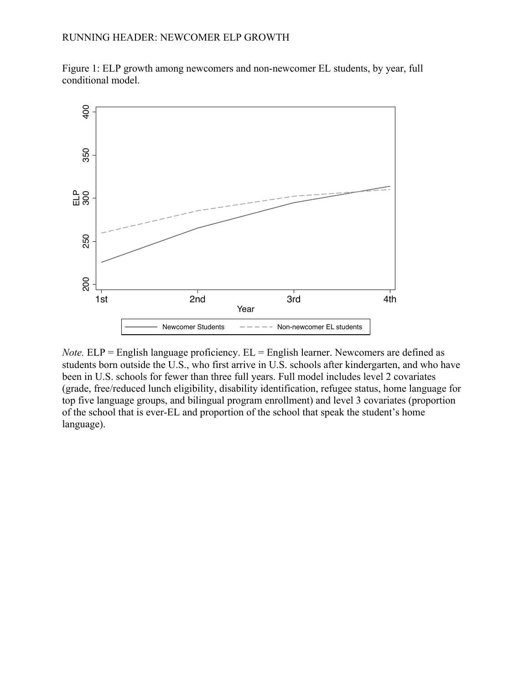Figure 1: ELP growth among newcomers and non-newcomer EL students, by year, full conditional model.



*Note.* ELP = English language proficiency. EL = English learner. Newcomers are defined as students born outside the U.S., who first arrive in U.S. schools after kindergarten, and who have been in U.S. schools for fewer than three full years. Full model includes level 2 covariates (grade, free/reduced lunch eligibility, disability identification, refugee status, home language for top five language groups, and bilingual program enrollment) and level 3 covariates (proportion of the school that is ever-EL and proportion of the school that speak the student's home language).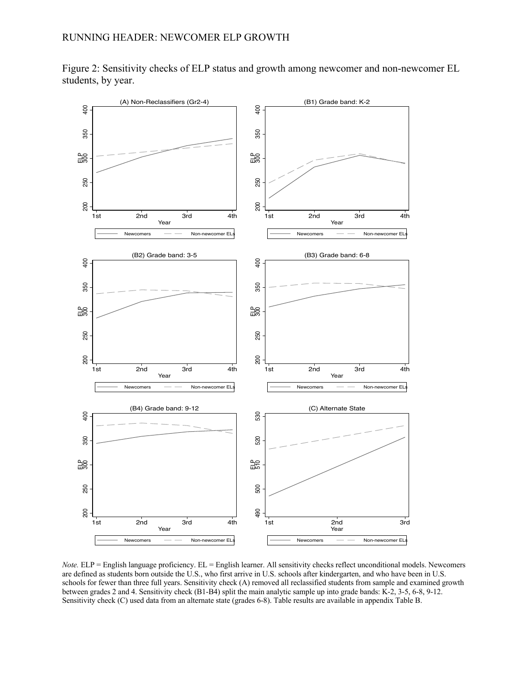Figure 2: Sensitivity checks of ELP status and growth among newcomer and non-newcomer EL students, by year.



*Note.* ELP = English language proficiency. EL = English learner. All sensitivity checks reflect unconditional models. Newcomers are defined as students born outside the U.S., who first arrive in U.S. schools after kindergarten, and who have been in U.S. schools for fewer than three full years. Sensitivity check (A) removed all reclassified students from sample and examined growth between grades 2 and 4. Sensitivity check (B1-B4) split the main analytic sample up into grade bands: K-2, 3-5, 6-8, 9-12.<br>Sensitivity check (C) used data from an alternate state (grades 6-8). Table results are available i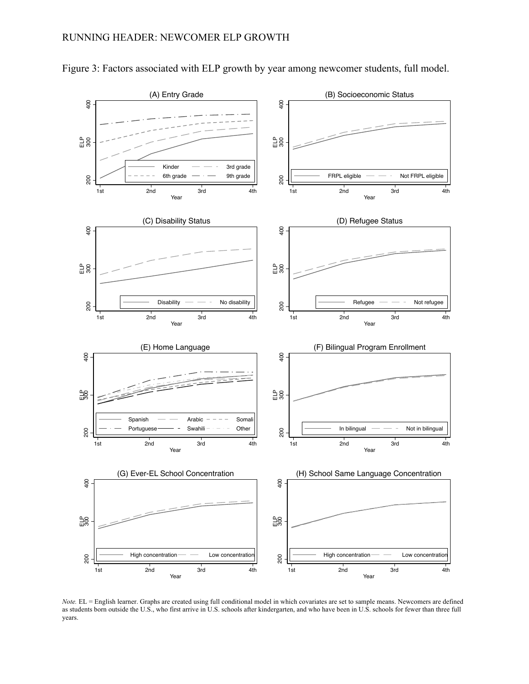

Figure 3: Factors associated with ELP growth by year among newcomer students, full model.

*Note.* EL = English learner. Graphs are created using full conditional model in which covariates are set to sample means. Newcomers are defined as students born outside the U.S., who first arrive in U.S. schools after kindergarten, and who have been in U.S. schools for fewer than three full years.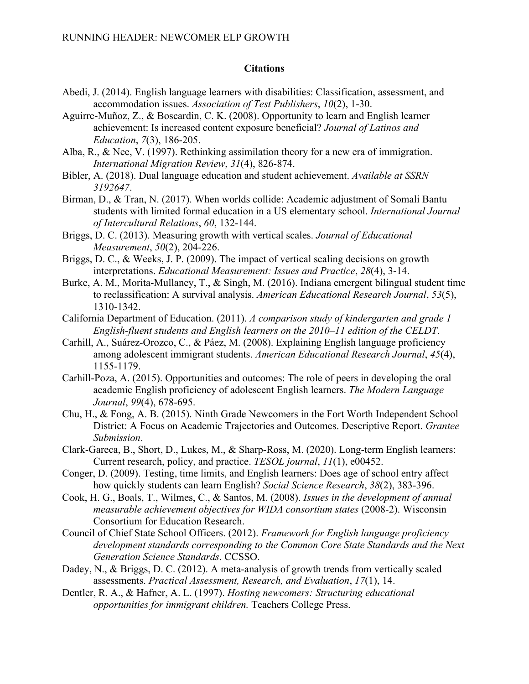# **Citations**

- Abedi, J. (2014). English language learners with disabilities: Classification, assessment, and accommodation issues. *Association of Test Publishers*, *10*(2), 1-30.
- Aguirre-Muñoz, Z., & Boscardin, C. K. (2008). Opportunity to learn and English learner achievement: Is increased content exposure beneficial? *Journal of Latinos and Education*, *7*(3), 186-205.
- Alba, R., & Nee, V. (1997). Rethinking assimilation theory for a new era of immigration. *International Migration Review*, *31*(4), 826-874.
- Bibler, A. (2018). Dual language education and student achievement. *Available at SSRN 3192647*.
- Birman, D., & Tran, N. (2017). When worlds collide: Academic adjustment of Somali Bantu students with limited formal education in a US elementary school. *International Journal of Intercultural Relations*, *60*, 132-144.
- Briggs, D. C. (2013). Measuring growth with vertical scales. *Journal of Educational Measurement*, *50*(2), 204-226.
- Briggs, D. C., & Weeks, J. P. (2009). The impact of vertical scaling decisions on growth interpretations. *Educational Measurement: Issues and Practice*, *28*(4), 3-14.
- Burke, A. M., Morita-Mullaney, T., & Singh, M. (2016). Indiana emergent bilingual student time to reclassification: A survival analysis. *American Educational Research Journal*, *53*(5), 1310-1342.
- California Department of Education. (2011). *A comparison study of kindergarten and grade 1 English-fluent students and English learners on the 2010–11 edition of the CELDT*.
- Carhill, A., Suárez-Orozco, C., & Páez, M. (2008). Explaining English language proficiency among adolescent immigrant students. *American Educational Research Journal*, *45*(4), 1155-1179.
- Carhill-Poza, A. (2015). Opportunities and outcomes: The role of peers in developing the oral academic English proficiency of adolescent English learners. *The Modern Language Journal*, *99*(4), 678-695.
- Chu, H., & Fong, A. B. (2015). Ninth Grade Newcomers in the Fort Worth Independent School District: A Focus on Academic Trajectories and Outcomes. Descriptive Report. *Grantee Submission*.
- Clark‐Gareca, B., Short, D., Lukes, M., & Sharp‐Ross, M. (2020). Long‐term English learners: Current research, policy, and practice. *TESOL journal*, *11*(1), e00452.
- Conger, D. (2009). Testing, time limits, and English learners: Does age of school entry affect how quickly students can learn English? *Social Science Research*, *38*(2), 383-396.
- Cook, H. G., Boals, T., Wilmes, C., & Santos, M. (2008). *Issues in the development of annual measurable achievement objectives for WIDA consortium states* (2008-2). Wisconsin Consortium for Education Research.
- Council of Chief State School Officers. (2012). *Framework for English language proficiency development standards corresponding to the Common Core State Standards and the Next Generation Science Standards*. CCSSO.
- Dadey, N., & Briggs, D. C. (2012). A meta-analysis of growth trends from vertically scaled assessments. *Practical Assessment, Research, and Evaluation*, *17*(1), 14.
- Dentler, R. A., & Hafner, A. L. (1997). *Hosting newcomers: Structuring educational opportunities for immigrant children.* Teachers College Press.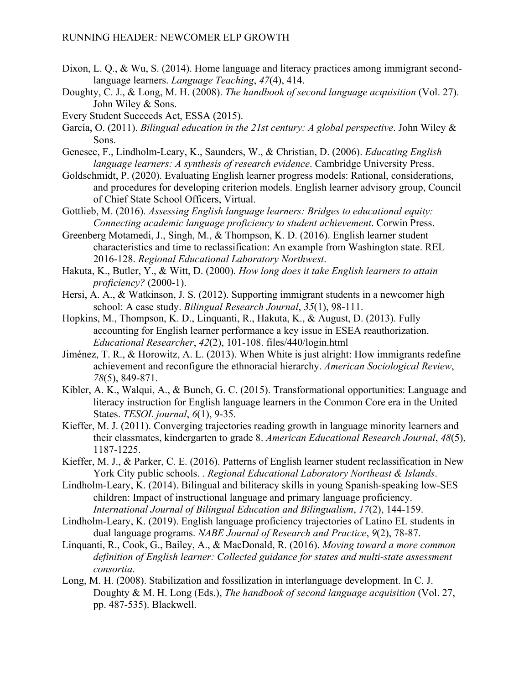- Dixon, L. Q., & Wu, S. (2014). Home language and literacy practices among immigrant secondlanguage learners. *Language Teaching*, *47*(4), 414.
- Doughty, C. J., & Long, M. H. (2008). *The handbook of second language acquisition* (Vol. 27). John Wiley & Sons.

Every Student Succeeds Act, ESSA (2015).

- García, O. (2011). *Bilingual education in the 21st century: A global perspective*. John Wiley & Sons.
- Genesee, F., Lindholm-Leary, K., Saunders, W., & Christian, D. (2006). *Educating English language learners: A synthesis of research evidence*. Cambridge University Press.
- Goldschmidt, P. (2020). Evaluating English learner progress models: Rational, considerations, and procedures for developing criterion models. English learner advisory group, Council of Chief State School Officers, Virtual.
- Gottlieb, M. (2016). *Assessing English language learners: Bridges to educational equity: Connecting academic language proficiency to student achievement*. Corwin Press.
- Greenberg Motamedi, J., Singh, M., & Thompson, K. D. (2016). English learner student characteristics and time to reclassification: An example from Washington state. REL 2016-128. *Regional Educational Laboratory Northwest*.
- Hakuta, K., Butler, Y., & Witt, D. (2000). *How long does it take English learners to attain proficiency?* (2000-1).
- Hersi, A. A., & Watkinson, J. S. (2012). Supporting immigrant students in a newcomer high school: A case study. *Bilingual Research Journal*, *35*(1), 98-111.
- Hopkins, M., Thompson, K. D., Linquanti, R., Hakuta, K., & August, D. (2013). Fully accounting for English learner performance a key issue in ESEA reauthorization. *Educational Researcher*, *42*(2), 101-108. files/440/login.html
- Jiménez, T. R., & Horowitz, A. L. (2013). When White is just alright: How immigrants redefine achievement and reconfigure the ethnoracial hierarchy. *American Sociological Review*, *78*(5), 849-871.
- Kibler, A. K., Walqui, A., & Bunch, G. C. (2015). Transformational opportunities: Language and literacy instruction for English language learners in the Common Core era in the United States. *TESOL journal*, *6*(1), 9-35.
- Kieffer, M. J. (2011). Converging trajectories reading growth in language minority learners and their classmates, kindergarten to grade 8. *American Educational Research Journal*, *48*(5), 1187-1225.
- Kieffer, M. J., & Parker, C. E. (2016). Patterns of English learner student reclassification in New York City public schools. . *Regional Educational Laboratory Northeast & Islands*.
- Lindholm-Leary, K. (2014). Bilingual and biliteracy skills in young Spanish-speaking low-SES children: Impact of instructional language and primary language proficiency. *International Journal of Bilingual Education and Bilingualism*, *17*(2), 144-159.
- Lindholm-Leary, K. (2019). English language proficiency trajectories of Latino EL students in dual language programs. *NABE Journal of Research and Practice*, *9*(2), 78-87.
- Linquanti, R., Cook, G., Bailey, A., & MacDonald, R. (2016). *Moving toward a more common definition of English learner: Collected guidance for states and multi-state assessment consortia*.
- Long, M. H. (2008). Stabilization and fossilization in interlanguage development. In C. J. Doughty & M. H. Long (Eds.), *The handbook of second language acquisition* (Vol. 27, pp. 487-535). Blackwell.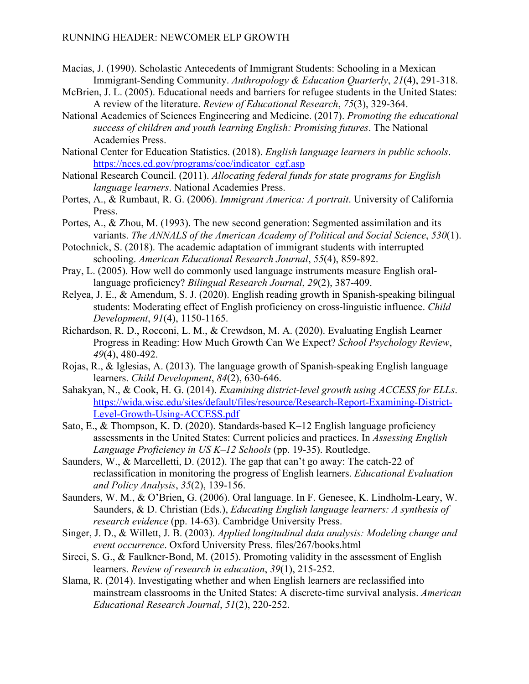- Macias, J. (1990). Scholastic Antecedents of Immigrant Students: Schooling in a Mexican Immigrant‐Sending Community. *Anthropology & Education Quarterly*, *21*(4), 291-318.
- McBrien, J. L. (2005). Educational needs and barriers for refugee students in the United States: A review of the literature. *Review of Educational Research*, *75*(3), 329-364.
- National Academies of Sciences Engineering and Medicine. (2017). *Promoting the educational success of children and youth learning English: Promising futures*. The National Academies Press.
- National Center for Education Statistics. (2018). *English language learners in public schools*. https://nces.ed.gov/programs/coe/indicator\_cgf.asp
- National Research Council. (2011). *Allocating federal funds for state programs for English language learners*. National Academies Press.
- Portes, A., & Rumbaut, R. G. (2006). *Immigrant America: A portrait*. University of California Press.
- Portes, A., & Zhou, M. (1993). The new second generation: Segmented assimilation and its variants. *The ANNALS of the American Academy of Political and Social Science*, *530*(1).
- Potochnick, S. (2018). The academic adaptation of immigrant students with interrupted schooling. *American Educational Research Journal*, *55*(4), 859-892.
- Pray, L. (2005). How well do commonly used language instruments measure English orallanguage proficiency? *Bilingual Research Journal*, *29*(2), 387-409.
- Relyea, J. E., & Amendum, S. J. (2020). English reading growth in Spanish‐speaking bilingual students: Moderating effect of English proficiency on cross‐linguistic influence. *Child Development*, *91*(4), 1150-1165.
- Richardson, R. D., Rocconi, L. M., & Crewdson, M. A. (2020). Evaluating English Learner Progress in Reading: How Much Growth Can We Expect? *School Psychology Review*, *49*(4), 480-492.
- Rojas, R., & Iglesias, A. (2013). The language growth of Spanish‐speaking English language learners. *Child Development*, *84*(2), 630-646.
- Sahakyan, N., & Cook, H. G. (2014). *Examining district-level growth using ACCESS for ELLs*. https://wida.wisc.edu/sites/default/files/resource/Research-Report-Examining-District-Level-Growth-Using-ACCESS.pdf
- Sato, E., & Thompson, K. D. (2020). Standards-based K–12 English language proficiency assessments in the United States: Current policies and practices. In *Assessing English Language Proficiency in US K–12 Schools* (pp. 19-35). Routledge.
- Saunders, W., & Marcelletti, D. (2012). The gap that can't go away: The catch-22 of reclassification in monitoring the progress of English learners. *Educational Evaluation and Policy Analysis*, *35*(2), 139-156.
- Saunders, W. M., & O'Brien, G. (2006). Oral language. In F. Genesee, K. Lindholm-Leary, W. Saunders, & D. Christian (Eds.), *Educating English language learners: A synthesis of research evidence* (pp. 14-63). Cambridge University Press.
- Singer, J. D., & Willett, J. B. (2003). *Applied longitudinal data analysis: Modeling change and event occurrence*. Oxford University Press. files/267/books.html
- Sireci, S. G., & Faulkner-Bond, M. (2015). Promoting validity in the assessment of English learners. *Review of research in education*, *39*(1), 215-252.
- Slama, R. (2014). Investigating whether and when English learners are reclassified into mainstream classrooms in the United States: A discrete-time survival analysis. *American Educational Research Journal*, *51*(2), 220-252.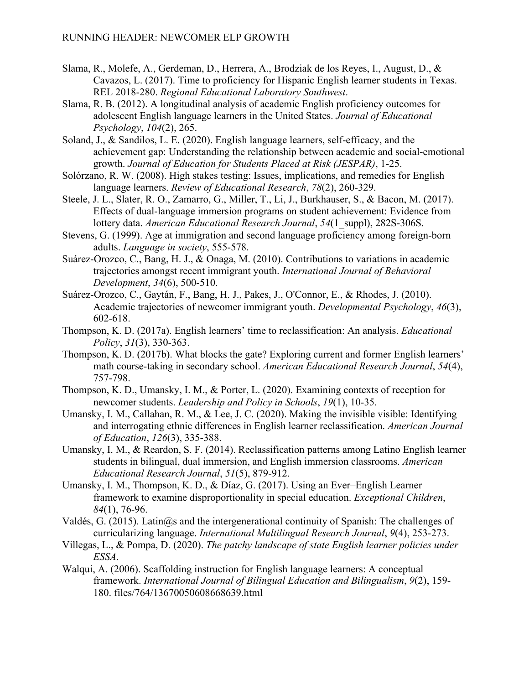- Slama, R., Molefe, A., Gerdeman, D., Herrera, A., Brodziak de los Reyes, I., August, D., & Cavazos, L. (2017). Time to proficiency for Hispanic English learner students in Texas. REL 2018-280. *Regional Educational Laboratory Southwest*.
- Slama, R. B. (2012). A longitudinal analysis of academic English proficiency outcomes for adolescent English language learners in the United States. *Journal of Educational Psychology*, *104*(2), 265.
- Soland, J., & Sandilos, L. E. (2020). English language learners, self-efficacy, and the achievement gap: Understanding the relationship between academic and social-emotional growth. *Journal of Education for Students Placed at Risk (JESPAR)*, 1-25.
- Solórzano, R. W. (2008). High stakes testing: Issues, implications, and remedies for English language learners. *Review of Educational Research*, *78*(2), 260-329.
- Steele, J. L., Slater, R. O., Zamarro, G., Miller, T., Li, J., Burkhauser, S., & Bacon, M. (2017). Effects of dual-language immersion programs on student achievement: Evidence from lottery data. *American Educational Research Journal*, *54*(1\_suppl), 282S-306S.
- Stevens, G. (1999). Age at immigration and second language proficiency among foreign-born adults. *Language in society*, 555-578.
- Suárez-Orozco, C., Bang, H. J., & Onaga, M. (2010). Contributions to variations in academic trajectories amongst recent immigrant youth. *International Journal of Behavioral Development*, *34*(6), 500-510.
- Suárez-Orozco, C., Gaytán, F., Bang, H. J., Pakes, J., O'Connor, E., & Rhodes, J. (2010). Academic trajectories of newcomer immigrant youth. *Developmental Psychology*, *46*(3), 602-618.
- Thompson, K. D. (2017a). English learners' time to reclassification: An analysis. *Educational Policy*, *31*(3), 330-363.
- Thompson, K. D. (2017b). What blocks the gate? Exploring current and former English learners' math course-taking in secondary school. *American Educational Research Journal*, *54*(4), 757-798.
- Thompson, K. D., Umansky, I. M., & Porter, L. (2020). Examining contexts of reception for newcomer students. *Leadership and Policy in Schools*, *19*(1), 10-35.
- Umansky, I. M., Callahan, R. M., & Lee, J. C. (2020). Making the invisible visible: Identifying and interrogating ethnic differences in English learner reclassification. *American Journal of Education*, *126*(3), 335-388.
- Umansky, I. M., & Reardon, S. F. (2014). Reclassification patterns among Latino English learner students in bilingual, dual immersion, and English immersion classrooms. *American Educational Research Journal*, *51*(5), 879-912.
- Umansky, I. M., Thompson, K. D., & Díaz, G. (2017). Using an Ever–English Learner framework to examine disproportionality in special education. *Exceptional Children*, *84*(1), 76-96.
- Valdés, G. (2015). Latin@s and the intergenerational continuity of Spanish: The challenges of curricularizing language. *International Multilingual Research Journal*, *9*(4), 253-273.
- Villegas, L., & Pompa, D. (2020). *The patchy landscape of state English learner policies under ESSA*.
- Walqui, A. (2006). Scaffolding instruction for English language learners: A conceptual framework. *International Journal of Bilingual Education and Bilingualism*, *9*(2), 159- 180. files/764/13670050608668639.html